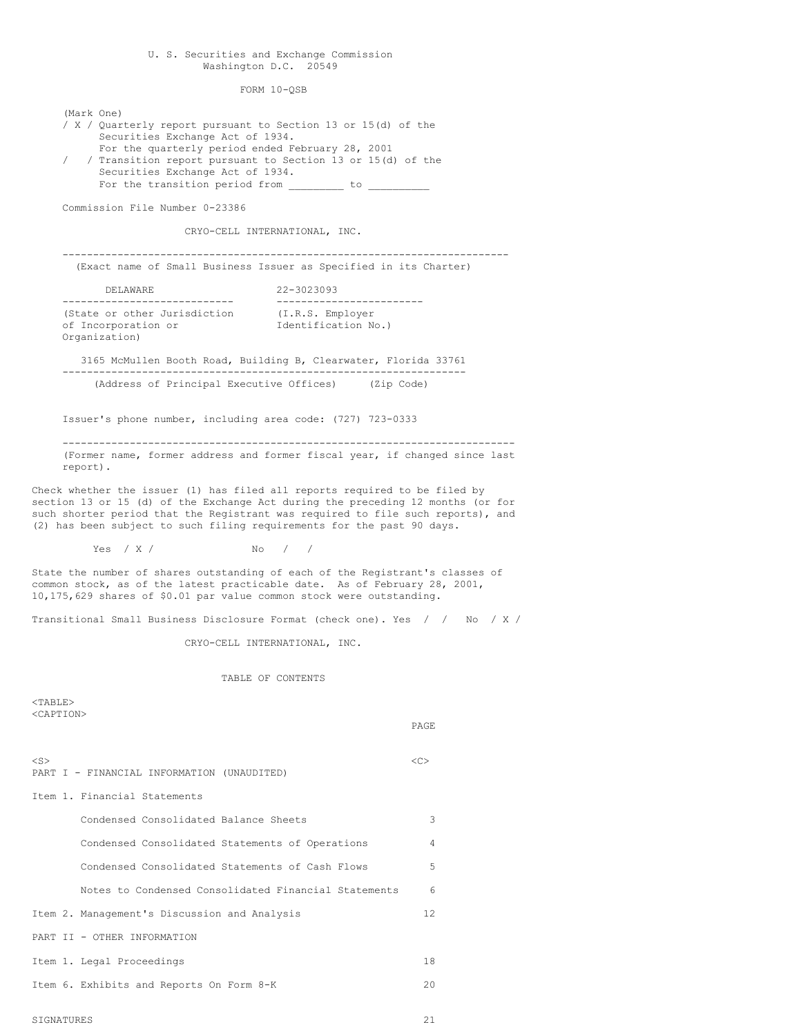## U. S. Securities and Exchange Commission Washington D.C. 20549

FORM 10-QSB

(Mark One) / X / Quarterly report pursuant to Section 13 or 15(d) of the Securities Exchange Act of 1934. For the quarterly period ended February 28, 2001 / / Transition report pursuant to Section 13 or 15(d) of the Securities Exchange Act of 1934. For the transition period from \_\_\_\_\_\_\_\_\_ to \_\_\_\_\_\_\_\_ Commission File Number 0-23386 CRYO-CELL INTERNATIONAL, INC. ------------------------------------------------------------------------- (Exact name of Small Business Issuer as Specified in its Charter) DELAWARE 22-3023093 ---------------------------- ------------------------ (State or other Jurisdiction (I.R.S. Employer of Incorporation or Identification No.) Organization) 3165 McMullen Booth Road, Building B, Clearwater, Florida 33761 ------------------------------------------------------------------ (Address of Principal Executive Offices) (Zip Code) Issuer's phone number, including area code: (727) 723-0333 -------------------------------------------------------------------------- (Former name, former address and former fiscal year, if changed since last report). Check whether the issuer (1) has filed all reports required to be filed by section 13 or 15 (d) of the Exchange Act during the preceding 12 months (or for such shorter period that the Registrant was required to file such reports), and (2) has been subject to such filing requirements for the past 90 days. Yes / X / No / State the number of shares outstanding of each of the Registrant's classes of common stock, as of the latest practicable date. As of February 28, 2001, 10,175,629 shares of \$0.01 par value common stock were outstanding. Transitional Small Business Disclosure Format (check one). Yes / / No / X / CRYO-CELL INTERNATIONAL, INC. TABLE OF CONTENTS <TABLE> <CAPTION> PAGE  $\langle$ S>  $\langle$ C> PART I - FINANCIAL INFORMATION (UNAUDITED) Item 1. Financial Statements Condensed Consolidated Balance Sheets 3 Condensed Consolidated Statements of Operations 4 Condensed Consolidated Statements of Cash Flows 5 Notes to Condensed Consolidated Financial Statements 6 Item 2. Management's Discussion and Analysis 12 PART II - OTHER INFORMATION Item 1. Legal Proceedings 18 Item 6. Exhibits and Reports On Form 8-K 20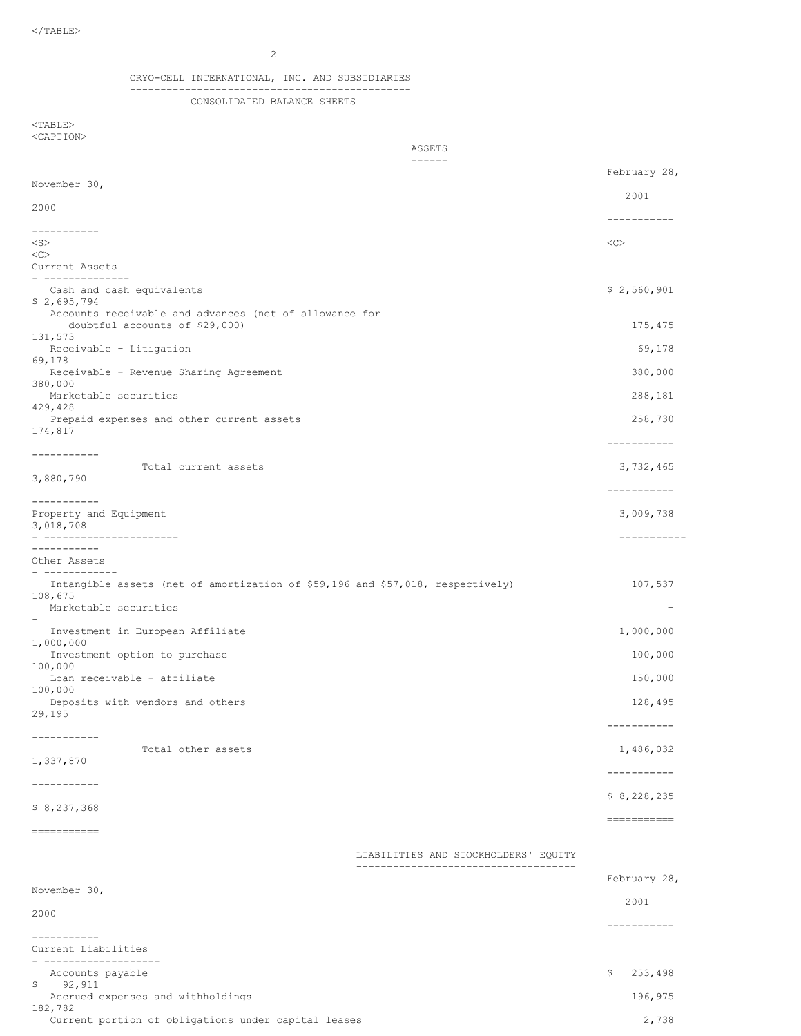2

# CRYO-CELL INTERNATIONAL, INC. AND SUBSIDIARIES

# ---------------------------------------------- CONSOLIDATED BALANCE SHEETS

# <TABLE> <CAPTION>

ASSETS

|                                                                                                                    | $- - - - - - -$                                                                |                          |
|--------------------------------------------------------------------------------------------------------------------|--------------------------------------------------------------------------------|--------------------------|
| November 30,                                                                                                       |                                                                                | February 28,             |
|                                                                                                                    |                                                                                | 2001                     |
| 2000                                                                                                               |                                                                                | -----------              |
| -----------<br>$<$ S $>$                                                                                           |                                                                                | <<                       |
| <<>                                                                                                                |                                                                                |                          |
| Current Assets<br>- --------------                                                                                 |                                                                                |                          |
| Cash and cash equivalents<br>\$2,695,794                                                                           |                                                                                | \$2,560,901              |
| Accounts receivable and advances (net of allowance for<br>doubtful accounts of \$29,000)<br>131,573                |                                                                                | 175,475                  |
| Receivable - Litigation                                                                                            |                                                                                | 69,178                   |
| 69,178<br>Receivable - Revenue Sharing Agreement<br>380,000                                                        |                                                                                | 380,000                  |
| Marketable securities                                                                                              |                                                                                | 288,181                  |
| 429,428<br>Prepaid expenses and other current assets<br>174,817                                                    |                                                                                | 258,730                  |
| -----------                                                                                                        |                                                                                | -----------              |
| Total current assets<br>3,880,790                                                                                  |                                                                                | 3,732,465<br>----------- |
| -----------                                                                                                        |                                                                                |                          |
| Property and Equipment<br>3,018,708<br>- ----------------------                                                    |                                                                                | 3,009,738<br>----------- |
| . _ _ _ _ _ _ _ _ _ _                                                                                              |                                                                                |                          |
| Other Assets<br>- ------------                                                                                     |                                                                                |                          |
| Intangible assets (net of amortization of \$59,196 and \$57,018, respectively)<br>108,675<br>Marketable securities |                                                                                | 107,537                  |
| $\overline{\phantom{a}}$                                                                                           |                                                                                |                          |
| Investment in European Affiliate<br>1,000,000                                                                      |                                                                                | 1,000,000                |
| Investment option to purchase<br>100,000                                                                           |                                                                                | 100,000                  |
| Loan receivable - affiliate<br>100,000                                                                             |                                                                                | 150,000                  |
| Deposits with vendors and others<br>29,195                                                                         |                                                                                | 128,495                  |
| -----------                                                                                                        |                                                                                | -----------              |
| Total other assets<br>1,337,870                                                                                    |                                                                                | 1,486,032<br>----------- |
| -----------                                                                                                        |                                                                                | \$8,228,235              |
| \$8,237,368                                                                                                        |                                                                                | ===========              |
| ===========                                                                                                        |                                                                                |                          |
|                                                                                                                    | LIABILITIES AND STOCKHOLDERS' EQUITY<br>-------------------------------------- |                          |
| November 30,                                                                                                       |                                                                                | February 28,             |
| 2000                                                                                                               |                                                                                | 2001                     |
| -----------                                                                                                        |                                                                                | -----------              |
| Current Liabilities<br>---------------                                                                             |                                                                                |                          |
| Accounts payable                                                                                                   |                                                                                | \$<br>253,498            |
| \$<br>92,911<br>Accrued expenses and withholdings                                                                  |                                                                                | 196,975                  |
| 182,782<br>Current portion of obligations under capital leases                                                     |                                                                                | 2,738                    |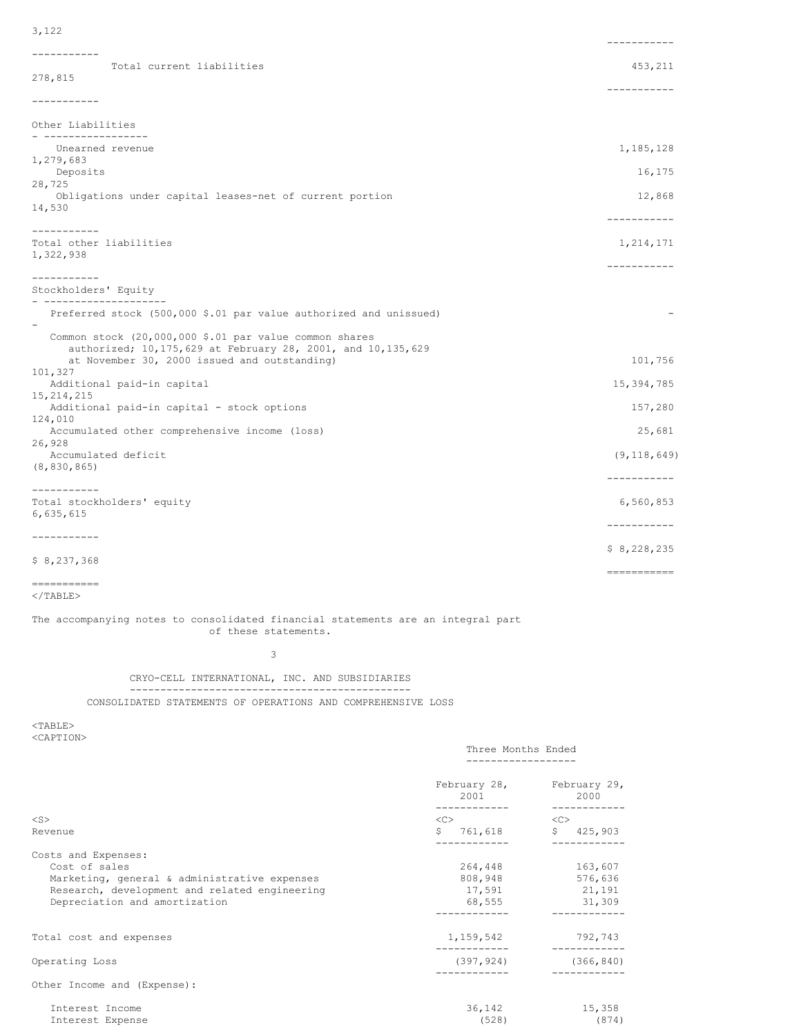3,122

|                                                                                                                                                                       | -----------   |
|-----------------------------------------------------------------------------------------------------------------------------------------------------------------------|---------------|
| -----------<br>Total current liabilities<br>278,815                                                                                                                   | 453,211       |
| .                                                                                                                                                                     | -----------   |
| Other Liabilities<br>- -----------------                                                                                                                              |               |
| Unearned revenue<br>1,279,683                                                                                                                                         | 1,185,128     |
| Deposits<br>28,725                                                                                                                                                    | 16,175        |
| Obligations under capital leases-net of current portion<br>14,530                                                                                                     | 12,868        |
| -----------                                                                                                                                                           | -----------   |
| Total other liabilities<br>1,322,938                                                                                                                                  | 1, 214, 171   |
| ___________                                                                                                                                                           | ------------  |
| Stockholders' Equity<br>- --------------------                                                                                                                        |               |
| Preferred stock (500,000 \$.01 par value authorized and unissued)                                                                                                     |               |
| Common stock (20,000,000 \$.01 par value common shares<br>authorized; 10,175,629 at February 28, 2001, and 10,135,629<br>at November 30, 2000 issued and outstanding) | 101,756       |
| 101,327                                                                                                                                                               |               |
| Additional paid-in capital<br>15, 214, 215                                                                                                                            | 15,394,785    |
| Additional paid-in capital - stock options<br>124,010                                                                                                                 | 157,280       |
| Accumulated other comprehensive income (loss)<br>26,928                                                                                                               | 25,681        |
| Accumulated deficit                                                                                                                                                   | (9, 118, 649) |
| (8, 830, 865)                                                                                                                                                         | ___________   |
| -----------<br>Total stockholders' equity<br>6,635,615                                                                                                                | 6,560,853     |
| -----------                                                                                                                                                           | -----------   |
| \$8,237,368                                                                                                                                                           | \$8,228,235   |
| $=$ ===========                                                                                                                                                       | ------------  |

 $\langle$ /TABLE $>$ 

The accompanying notes to consolidated financial statements are an integral part of these statements.

3

## CRYO-CELL INTERNATIONAL, INC. AND SUBSIDIARIES ---------------------------------------------- CONSOLIDATED STATEMENTS OF OPERATIONS AND COMPREHENSIVE LOSS

<TABLE> <CAPTION>

|                                                                                                                                                                        | Three Months Ended<br>---------------- |                                        |  |
|------------------------------------------------------------------------------------------------------------------------------------------------------------------------|----------------------------------------|----------------------------------------|--|
|                                                                                                                                                                        | 2001                                   | February 28, February 29,<br>2000      |  |
| $<$ S><br>Revenue                                                                                                                                                      | $\langle C \rangle$<br>\$761,618       | <<<br>\$425,903                        |  |
| Costs and Expenses:<br>Cost of sales<br>Marketing, general & administrative expenses<br>Research, development and related engineering<br>Depreciation and amortization | 264,448<br>808,948<br>17,591<br>68,555 | 163,607<br>576,636<br>21,191<br>31,309 |  |
| Total cost and expenses                                                                                                                                                | 1,159,542                              | 792,743                                |  |
| Operating Loss                                                                                                                                                         | (397, 924)                             | (366, 840)                             |  |
| Other Income and (Expense):                                                                                                                                            |                                        |                                        |  |
| Interest Income<br>Interest Expense                                                                                                                                    | 36,142<br>(528)                        | 15,358<br>(874)                        |  |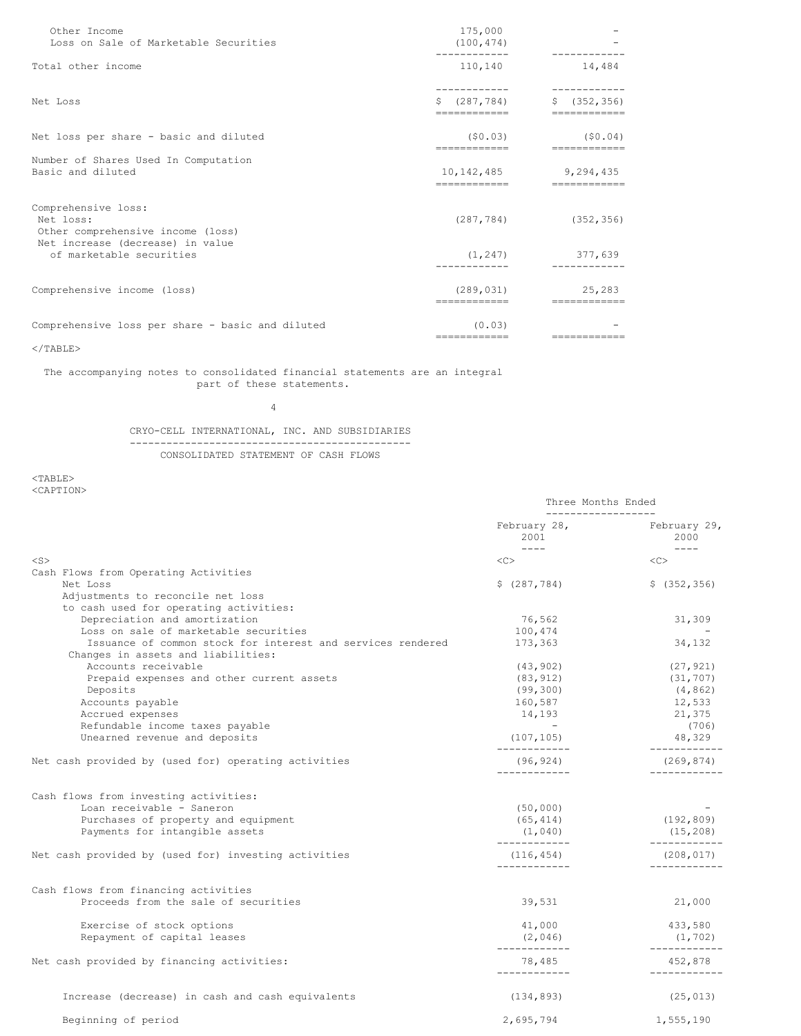| Other Income<br>Loss on Sale of Marketable Securities                 | 175,000<br>(100, 474)         |                           |
|-----------------------------------------------------------------------|-------------------------------|---------------------------|
| Total other income                                                    | 110,140                       | 14,484                    |
| Net Loss                                                              | \$ (287, 784)<br>------------ | \$ (352, 356)             |
| Net loss per share - basic and diluted                                | (50.03)<br>============       | (50.04)<br>============   |
| Number of Shares Used In Computation<br>Basic and diluted             | 10,142,485<br>============    | 9,294,435<br>============ |
| Comprehensive loss:<br>Net loss:<br>Other comprehensive income (loss) |                               | $(287, 784)$ $(352, 356)$ |
| Net increase (decrease) in value<br>of marketable securities          | (1, 247)                      | 377,639                   |
| Comprehensive income (loss)                                           | (289, 031)<br>-------------   | 25,283                    |
| Comprehensive loss per share - basic and diluted                      | (0.03)                        |                           |
| $<$ /TABLE>                                                           |                               |                           |

The accompanying notes to consolidated financial statements are an integral part of these statements.

# 4

## CRYO-CELL INTERNATIONAL, INC. AND SUBSIDIARIES ---------------------------------------------- CONSOLIDATED STATEMENT OF CASH FLOWS

<TABLE> <CAPTION>

|                                                             | ------------------          |                                   |
|-------------------------------------------------------------|-----------------------------|-----------------------------------|
|                                                             | 2001                        | February 28, February 29,<br>2000 |
| $<$ S $>$                                                   | $- - - - -$<br><<           | $- - - - -$<br><<                 |
| Cash Flows from Operating Activities                        |                             |                                   |
| Net Loss                                                    | \$(287, 784)                | \$ (352, 356)                     |
| Adjustments to reconcile net loss                           |                             |                                   |
| to cash used for operating activities:                      |                             |                                   |
| Depreciation and amortization                               | 76,562                      | 31,309                            |
| Loss on sale of marketable securities                       | 100,474                     |                                   |
| Issuance of common stock for interest and services rendered | 173,363                     | 34,132                            |
| Changes in assets and liabilities:                          |                             |                                   |
| Accounts receivable                                         | (43, 902)                   | (27, 921)                         |
| Prepaid expenses and other current assets                   | (83, 912)                   | (31, 707)                         |
| Deposits                                                    | (99, 300)                   | (4, 862)                          |
| Accounts payable                                            | 160,587                     | 12,533                            |
| Accrued expenses                                            | 14,193                      | 21,375                            |
| Refundable income taxes payable                             | <b>Service</b>              | (706)                             |
| Unearned revenue and deposits                               | (107, 105)<br>------------- | 48,329<br>------------            |
| Net cash provided by (used for) operating activities        | (96, 924)                   | (269, 874)                        |
| Cash flows from investing activities:                       |                             |                                   |
| Loan receivable - Saneron                                   | (50,000)                    |                                   |
| Purchases of property and equipment                         | (65, 414)                   | (192, 809)                        |
| Payments for intangible assets                              | (1, 040)                    | (15, 208)                         |
|                                                             | ------------                | ------------                      |
| Net cash provided by (used for) investing activities        | (116, 454)<br>____________  | (208, 017)<br>------------        |
|                                                             |                             |                                   |
| Cash flows from financing activities                        |                             |                                   |
| Proceeds from the sale of securities                        | 39,531                      | 21,000                            |
| Exercise of stock options                                   | 41,000                      | 433,580                           |
| Repayment of capital leases                                 | (2, 046)                    | (1, 702)<br>------------          |
| Net cash provided by financing activities:                  | ------------<br>78,485      | 452,878                           |
|                                                             | ------------                |                                   |
| Increase (decrease) in cash and cash equivalents            | (134, 893)                  | (25, 013)                         |
| Beginning of period                                         | 2,695,794                   | 1,555,190                         |
|                                                             |                             |                                   |

Three Months Ended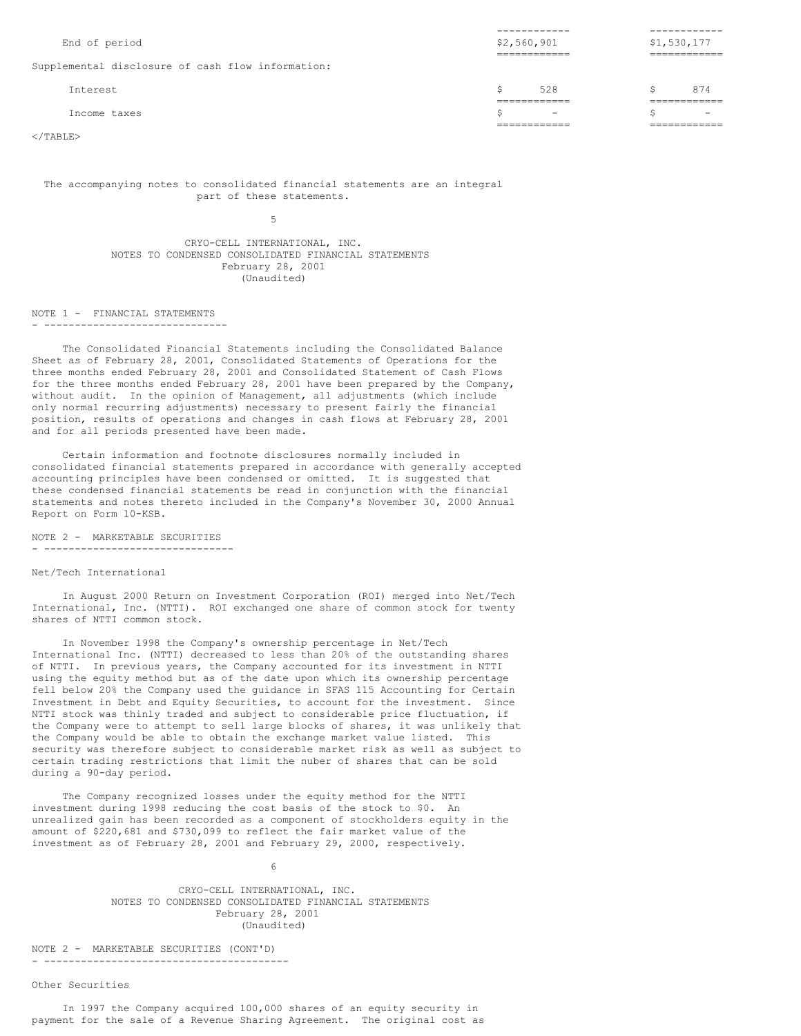| End of period                                     | \$2,560,901                                            | \$1,530,177                            |  |
|---------------------------------------------------|--------------------------------------------------------|----------------------------------------|--|
| Supplemental disclosure of cash flow information: | ____________<br>____________                           | ___________<br>------------            |  |
| <b>Tnterest</b>                                   | 528<br>Ŝ<br>____________                               | 874<br>________                        |  |
| Income taxes                                      | S<br>$\qquad \qquad =$<br>____________<br>____________ | S<br>-<br>____________<br>____________ |  |
| $\langle$ /TARLE>                                 |                                                        |                                        |  |

The accompanying notes to consolidated financial statements are an integral part of these statements.

5

CRYO-CELL INTERNATIONAL, INC. NOTES TO CONDENSED CONSOLIDATED FINANCIAL STATEMENTS February 28, 2001 (Unaudited)

NOTE 1 - FINANCIAL STATEMENTS - ------------------------------

The Consolidated Financial Statements including the Consolidated Balance Sheet as of February 28, 2001, Consolidated Statements of Operations for the three months ended February 28, 2001 and Consolidated Statement of Cash Flows for the three months ended February 28, 2001 have been prepared by the Company, without audit. In the opinion of Management, all adjustments (which include only normal recurring adjustments) necessary to present fairly the financial position, results of operations and changes in cash flows at February 28, 2001 and for all periods presented have been made.

Certain information and footnote disclosures normally included in consolidated financial statements prepared in accordance with generally accepted accounting principles have been condensed or omitted. It is suggested that these condensed financial statements be read in conjunction with the financial statements and notes thereto included in the Company's November 30, 2000 Annual Report on Form 10-KSB.

NOTE 2 - MARKETABLE SECURITIES - -------------------------------

#### Net/Tech International

In August 2000 Return on Investment Corporation (ROI) merged into Net/Tech International, Inc. (NTTI). ROI exchanged one share of common stock for twenty shares of NTTI common stock.

In November 1998 the Company's ownership percentage in Net/Tech International Inc. (NTTI) decreased to less than 20% of the outstanding shares of NTTI. In previous years, the Company accounted for its investment in NTTI using the equity method but as of the date upon which its ownership percentage fell below 20% the Company used the guidance in SFAS 115 Accounting for Certain Investment in Debt and Equity Securities, to account for the investment. Since NTTI stock was thinly traded and subject to considerable price fluctuation, if the Company were to attempt to sell large blocks of shares, it was unlikely that the Company would be able to obtain the exchange market value listed. This security was therefore subject to considerable market risk as well as subject to certain trading restrictions that limit the nuber of shares that can be sold during a 90-day period.

The Company recognized losses under the equity method for the NTTI investment during 1998 reducing the cost basis of the stock to \$0. An unrealized gain has been recorded as a component of stockholders equity in the amount of \$220,681 and \$730,099 to reflect the fair market value of the investment as of February 28, 2001 and February 29, 2000, respectively.

6

CRYO-CELL INTERNATIONAL, INC. NOTES TO CONDENSED CONSOLIDATED FINANCIAL STATEMENTS February 28, 2001 (Unaudited)

NOTE 2 - MARKETABLE SECURITIES (CONT'D) - ----------------------------------------

## Other Securities

In 1997 the Company acquired 100,000 shares of an equity security in payment for the sale of a Revenue Sharing Agreement. The original cost as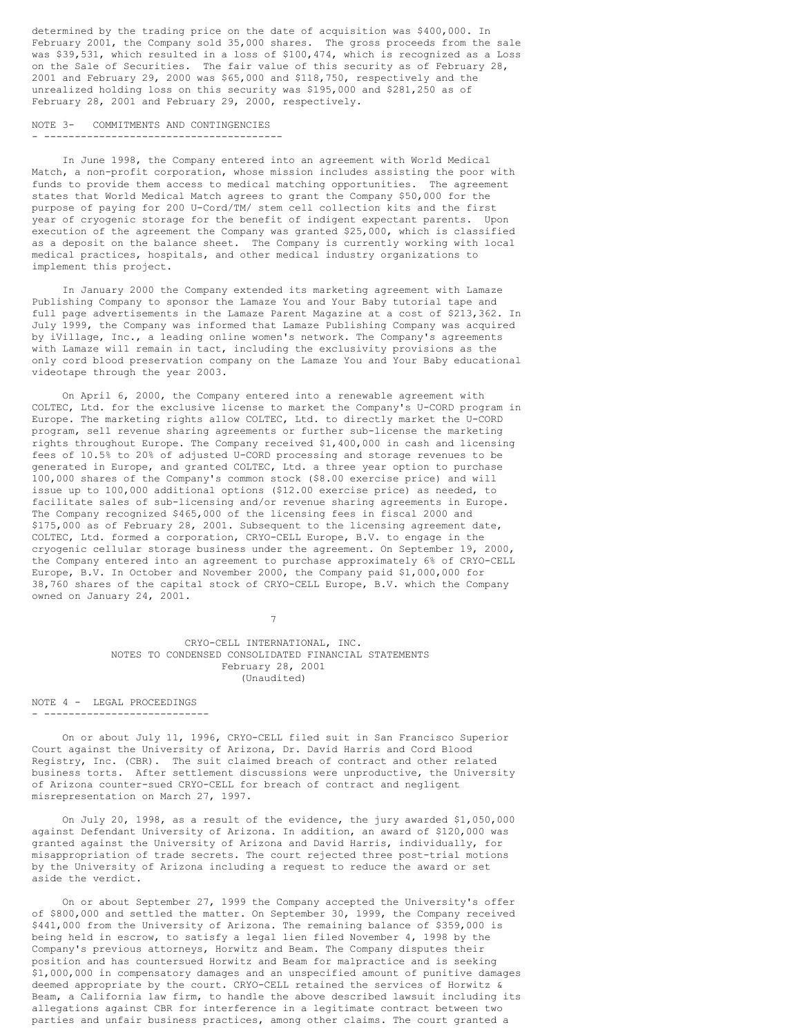determined by the trading price on the date of acquisition was \$400,000. In February 2001, the Company sold 35,000 shares. The gross proceeds from the sale was \$39,531, which resulted in a loss of \$100,474, which is recognized as a Loss on the Sale of Securities. The fair value of this security as of February 28, 2001 and February 29, 2000 was \$65,000 and \$118,750, respectively and the unrealized holding loss on this security was \$195,000 and \$281,250 as of February 28, 2001 and February 29, 2000, respectively.

# NOTE 3- COMMITMENTS AND CONTINGENCIES

- ---------------------------------------

In June 1998, the Company entered into an agreement with World Medical Match, a non-profit corporation, whose mission includes assisting the poor with funds to provide them access to medical matching opportunities. The agreement states that World Medical Match agrees to grant the Company \$50,000 for the purpose of paying for 200 U-Cord/TM/ stem cell collection kits and the first year of cryogenic storage for the benefit of indigent expectant parents. Upon execution of the agreement the Company was granted \$25,000, which is classified as a deposit on the balance sheet. The Company is currently working with local medical practices, hospitals, and other medical industry organizations to implement this project.

In January 2000 the Company extended its marketing agreement with Lamaze Publishing Company to sponsor the Lamaze You and Your Baby tutorial tape and full page advertisements in the Lamaze Parent Magazine at a cost of \$213,362. In July 1999, the Company was informed that Lamaze Publishing Company was acquired by iVillage, Inc., a leading online women's network. The Company's agreements with Lamaze will remain in tact, including the exclusivity provisions as the only cord blood preservation company on the Lamaze You and Your Baby educational videotape through the year 2003.

On April 6, 2000, the Company entered into a renewable agreement with COLTEC, Ltd. for the exclusive license to market the Company's U-CORD program in Europe. The marketing rights allow COLTEC, Ltd. to directly market the U-CORD program, sell revenue sharing agreements or further sub-license the marketing rights throughout Europe. The Company received \$1,400,000 in cash and licensing fees of 10.5% to 20% of adjusted U-CORD processing and storage revenues to be generated in Europe, and granted COLTEC, Ltd. a three year option to purchase 100,000 shares of the Company's common stock (\$8.00 exercise price) and will issue up to 100,000 additional options (\$12.00 exercise price) as needed, to facilitate sales of sub-licensing and/or revenue sharing agreements in Europe. The Company recognized \$465,000 of the licensing fees in fiscal 2000 and \$175,000 as of February 28, 2001. Subsequent to the licensing agreement date, COLTEC, Ltd. formed a corporation, CRYO-CELL Europe, B.V. to engage in the cryogenic cellular storage business under the agreement. On September 19, 2000, the Company entered into an agreement to purchase approximately 6% of CRYO-CELL Europe, B.V. In October and November 2000, the Company paid \$1,000,000 for 38,760 shares of the capital stock of CRYO-CELL Europe, B.V. which the Company owned on January 24, 2001.

> CRYO-CELL INTERNATIONAL, INC. NOTES TO CONDENSED CONSOLIDATED FINANCIAL STATEMENTS February 28, 2001 (Unaudited)

7

#### NOTE 4 - LEGAL PROCEEDINGS - ---------------------------

On or about July 11, 1996, CRYO-CELL filed suit in San Francisco Superior Court against the University of Arizona, Dr. David Harris and Cord Blood Registry, Inc. (CBR). The suit claimed breach of contract and other related business torts. After settlement discussions were unproductive, the University of Arizona counter-sued CRYO-CELL for breach of contract and negligent misrepresentation on March 27, 1997.

On July 20, 1998, as a result of the evidence, the jury awarded \$1,050,000 against Defendant University of Arizona. In addition, an award of \$120,000 was granted against the University of Arizona and David Harris, individually, for misappropriation of trade secrets. The court rejected three post-trial motions by the University of Arizona including a request to reduce the award or set aside the verdict.

On or about September 27, 1999 the Company accepted the University's offer of \$800,000 and settled the matter. On September 30, 1999, the Company received \$441,000 from the University of Arizona. The remaining balance of \$359,000 is being held in escrow, to satisfy a legal lien filed November 4, 1998 by the Company's previous attorneys, Horwitz and Beam. The Company disputes their position and has countersued Horwitz and Beam for malpractice and is seeking \$1,000,000 in compensatory damages and an unspecified amount of punitive damages deemed appropriate by the court. CRYO-CELL retained the services of Horwitz & Beam, a California law firm, to handle the above described lawsuit including its allegations against CBR for interference in a legitimate contract between two parties and unfair business practices, among other claims. The court granted a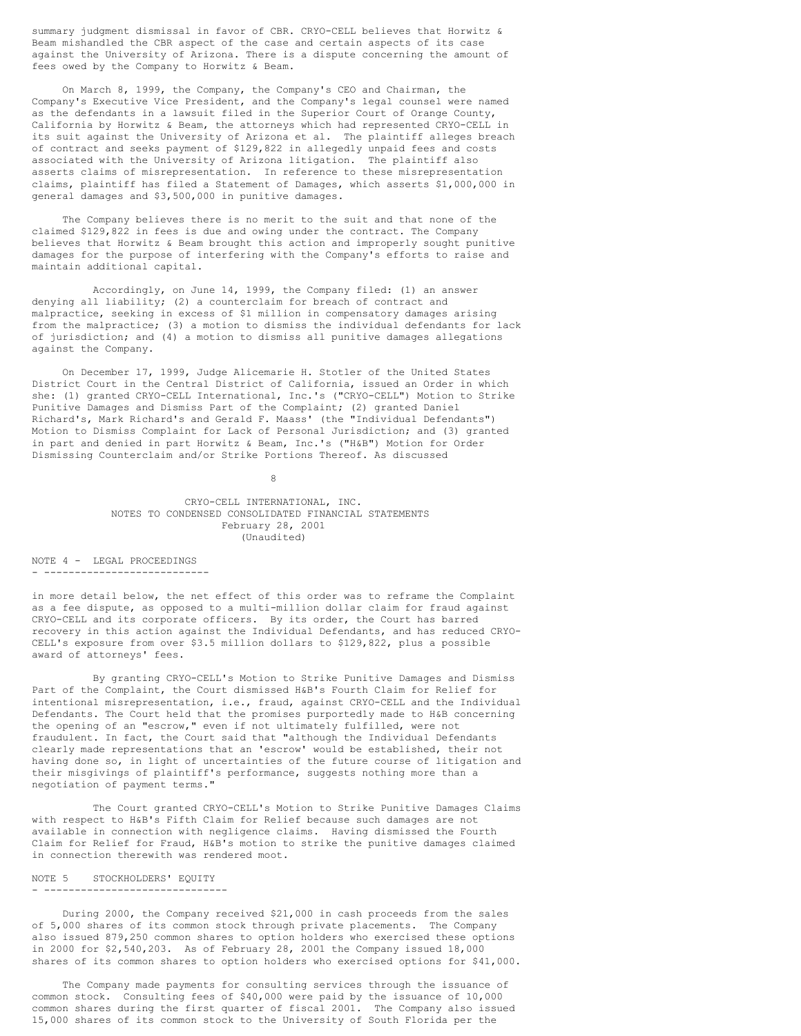summary judgment dismissal in favor of CBR. CRYO-CELL believes that Horwitz & Beam mishandled the CBR aspect of the case and certain aspects of its case against the University of Arizona. There is a dispute concerning the amount of fees owed by the Company to Horwitz & Beam.

On March 8, 1999, the Company, the Company's CEO and Chairman, the Company's Executive Vice President, and the Company's legal counsel were named as the defendants in a lawsuit filed in the Superior Court of Orange County, California by Horwitz & Beam, the attorneys which had represented CRYO-CELL in its suit against the University of Arizona et al. The plaintiff alleges breach of contract and seeks payment of \$129,822 in allegedly unpaid fees and costs associated with the University of Arizona litigation. The plaintiff also asserts claims of misrepresentation. In reference to these misrepresentation claims, plaintiff has filed a Statement of Damages, which asserts \$1,000,000 in general damages and \$3,500,000 in punitive damages.

The Company believes there is no merit to the suit and that none of the claimed \$129,822 in fees is due and owing under the contract. The Company believes that Horwitz & Beam brought this action and improperly sought punitive damages for the purpose of interfering with the Company's efforts to raise and maintain additional capital.

Accordingly, on June 14, 1999, the Company filed: (1) an answer denying all liability; (2) a counterclaim for breach of contract and malpractice, seeking in excess of \$1 million in compensatory damages arising from the malpractice; (3) a motion to dismiss the individual defendants for lack of jurisdiction; and (4) a motion to dismiss all punitive damages allegations against the Company.

On December 17, 1999, Judge Alicemarie H. Stotler of the United States District Court in the Central District of California, issued an Order in which she: (1) granted CRYO-CELL International, Inc.'s ("CRYO-CELL") Motion to Strike Punitive Damages and Dismiss Part of the Complaint; (2) granted Daniel Richard's, Mark Richard's and Gerald F. Maass' (the "Individual Defendants") Motion to Dismiss Complaint for Lack of Personal Jurisdiction; and (3) granted in part and denied in part Horwitz & Beam, Inc.'s ("H&B") Motion for Order Dismissing Counterclaim and/or Strike Portions Thereof. As discussed

8

CRYO-CELL INTERNATIONAL, INC. NOTES TO CONDENSED CONSOLIDATED FINANCIAL STATEMENTS February 28, 2001 (Unaudited)

NOTE 4 - LEGAL PROCEEDINGS - ---------------------------

in more detail below, the net effect of this order was to reframe the Complaint as a fee dispute, as opposed to a multi-million dollar claim for fraud against CRYO-CELL and its corporate officers. By its order, the Court has barred recovery in this action against the Individual Defendants, and has reduced CRYO-CELL's exposure from over \$3.5 million dollars to \$129,822, plus a possible award of attorneys' fees.

By granting CRYO-CELL's Motion to Strike Punitive Damages and Dismiss Part of the Complaint, the Court dismissed H&B's Fourth Claim for Relief for intentional misrepresentation, i.e., fraud, against CRYO-CELL and the Individual Defendants. The Court held that the promises purportedly made to H&B concerning the opening of an "escrow," even if not ultimately fulfilled, were not fraudulent. In fact, the Court said that "although the Individual Defendants clearly made representations that an 'escrow' would be established, their not having done so, in light of uncertainties of the future course of litigation and their misgivings of plaintiff's performance, suggests nothing more than a negotiation of payment terms."

The Court granted CRYO-CELL's Motion to Strike Punitive Damages Claims with respect to H&B's Fifth Claim for Relief because such damages are not available in connection with negligence claims. Having dismissed the Fourth Claim for Relief for Fraud, H&B's motion to strike the punitive damages claimed in connection therewith was rendered moot.

#### NOTE 5 STOCKHOLDERS' EQUITY - ------------------------------

During 2000, the Company received \$21,000 in cash proceeds from the sales of 5,000 shares of its common stock through private placements. The Company also issued 879,250 common shares to option holders who exercised these options in 2000 for \$2,540,203. As of February 28, 2001 the Company issued 18,000 shares of its common shares to option holders who exercised options for \$41,000.

The Company made payments for consulting services through the issuance of common stock. Consulting fees of \$40,000 were paid by the issuance of 10,000 common shares during the first quarter of fiscal 2001. The Company also issued 15,000 shares of its common stock to the University of South Florida per the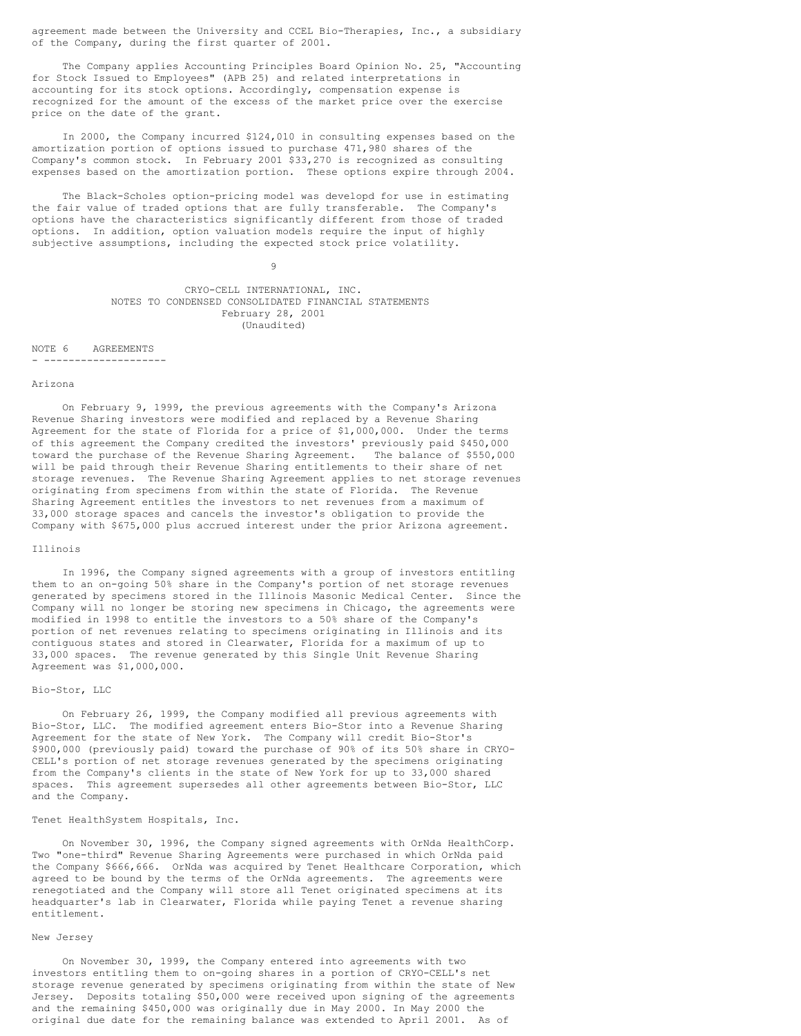agreement made between the University and CCEL Bio-Therapies, Inc., a subsidiary of the Company, during the first quarter of 2001.

The Company applies Accounting Principles Board Opinion No. 25, "Accounting for Stock Issued to Employees" (APB 25) and related interpretations in accounting for its stock options. Accordingly, compensation expense is recognized for the amount of the excess of the market price over the exercise price on the date of the grant.

In 2000, the Company incurred \$124,010 in consulting expenses based on the amortization portion of options issued to purchase 471,980 shares of the Company's common stock. In February 2001 \$33,270 is recognized as consulting expenses based on the amortization portion. These options expire through 2004.

The Black-Scholes option-pricing model was developd for use in estimating the fair value of traded options that are fully transferable. The Company's options have the characteristics significantly different from those of traded options. In addition, option valuation models require the input of highly subjective assumptions, including the expected stock price volatility.

9

CRYO-CELL INTERNATIONAL, INC. NOTES TO CONDENSED CONSOLIDATED FINANCIAL STATEMENTS February 28, 2001 (Unaudited)

#### NOTE 6 AGREEMENTS - --------------------

#### Arizona

On February 9, 1999, the previous agreements with the Company's Arizona Revenue Sharing investors were modified and replaced by a Revenue Sharing Agreement for the state of Florida for a price of \$1,000,000. Under the terms of this agreement the Company credited the investors' previously paid \$450,000 toward the purchase of the Revenue Sharing Agreement. The balance of \$550,000 will be paid through their Revenue Sharing entitlements to their share of net storage revenues. The Revenue Sharing Agreement applies to net storage revenues originating from specimens from within the state of Florida. The Revenue Sharing Agreement entitles the investors to net revenues from a maximum of 33,000 storage spaces and cancels the investor's obligation to provide the Company with \$675,000 plus accrued interest under the prior Arizona agreement.

#### Illinois

In 1996, the Company signed agreements with a group of investors entitling them to an on-going 50% share in the Company's portion of net storage revenues generated by specimens stored in the Illinois Masonic Medical Center. Since the Company will no longer be storing new specimens in Chicago, the agreements were modified in 1998 to entitle the investors to a 50% share of the Company's portion of net revenues relating to specimens originating in Illinois and its contiguous states and stored in Clearwater, Florida for a maximum of up to 33,000 spaces. The revenue generated by this Single Unit Revenue Sharing Agreement was \$1,000,000.

#### Bio-Stor, LLC

On February 26, 1999, the Company modified all previous agreements with Bio-Stor, LLC. The modified agreement enters Bio-Stor into a Revenue Sharing Agreement for the state of New York. The Company will credit Bio-Stor's \$900,000 (previously paid) toward the purchase of 90% of its 50% share in CRYO-CELL's portion of net storage revenues generated by the specimens originating from the Company's clients in the state of New York for up to 33,000 shared spaces. This agreement supersedes all other agreements between Bio-Stor, LLC and the Company.

#### Tenet HealthSystem Hospitals, Inc.

On November 30, 1996, the Company signed agreements with OrNda HealthCorp. Two "one-third" Revenue Sharing Agreements were purchased in which OrNda paid the Company \$666,666. OrNda was acquired by Tenet Healthcare Corporation, which agreed to be bound by the terms of the OrNda agreements. The agreements were renegotiated and the Company will store all Tenet originated specimens at its headquarter's lab in Clearwater, Florida while paying Tenet a revenue sharing entitlement.

#### New Jersey

On November 30, 1999, the Company entered into agreements with two investors entitling them to on-going shares in a portion of CRYO-CELL's net storage revenue generated by specimens originating from within the state of New Jersey. Deposits totaling \$50,000 were received upon signing of the agreements and the remaining \$450,000 was originally due in May 2000. In May 2000 the original due date for the remaining balance was extended to April 2001. As of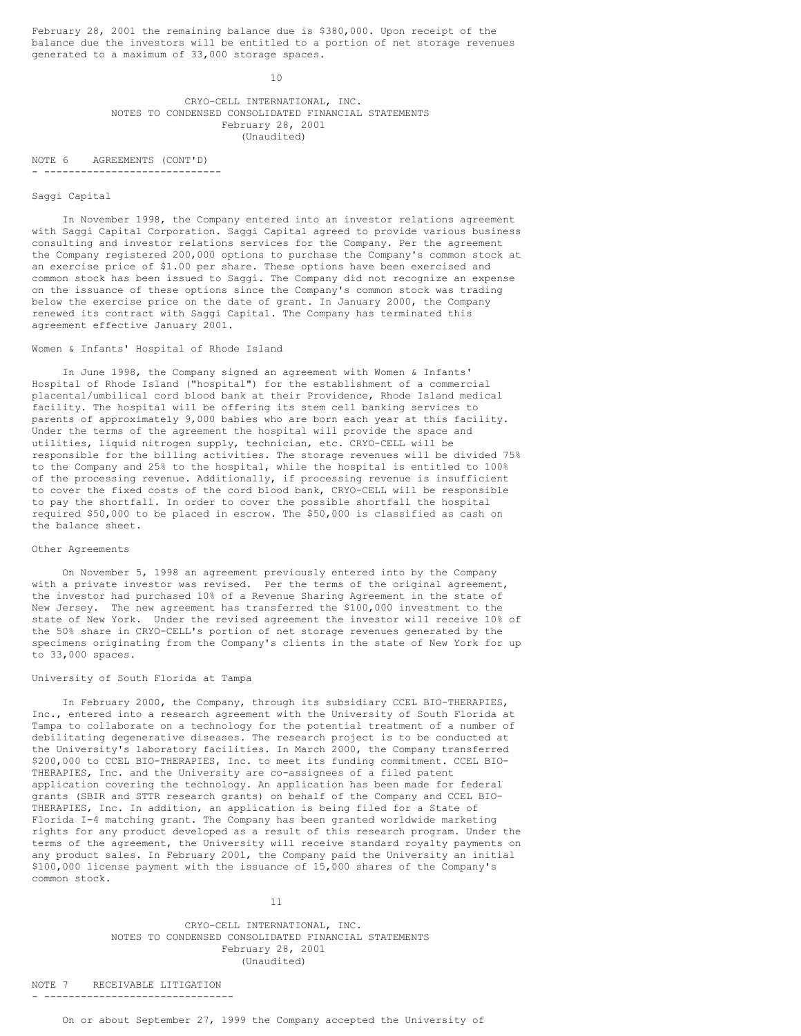February 28, 2001 the remaining balance due is \$380,000. Upon receipt of the balance due the investors will be entitled to a portion of net storage revenues generated to a maximum of 33,000 storage spaces.

 $10$ 

## CRYO-CELL INTERNATIONAL, INC. NOTES TO CONDENSED CONSOLIDATED FINANCIAL STATEMENTS February 28, 2001 (Unaudited)

NOTE 6 AGREEMENTS (CONT'D) - -----------------------------

#### Saggi Capital

In November 1998, the Company entered into an investor relations agreement with Saggi Capital Corporation. Saggi Capital agreed to provide various business consulting and investor relations services for the Company. Per the agreement the Company registered 200,000 options to purchase the Company's common stock at an exercise price of \$1.00 per share. These options have been exercised and common stock has been issued to Saggi. The Company did not recognize an expense on the issuance of these options since the Company's common stock was trading below the exercise price on the date of grant. In January 2000, the Company renewed its contract with Saggi Capital. The Company has terminated this agreement effective January 2001.

## Women & Infants' Hospital of Rhode Island

In June 1998, the Company signed an agreement with Women & Infants' Hospital of Rhode Island ("hospital") for the establishment of a commercial placental/umbilical cord blood bank at their Providence, Rhode Island medical facility. The hospital will be offering its stem cell banking services to parents of approximately 9,000 babies who are born each year at this facility. Under the terms of the agreement the hospital will provide the space and utilities, liquid nitrogen supply, technician, etc. CRYO-CELL will be responsible for the billing activities. The storage revenues will be divided 75% to the Company and 25% to the hospital, while the hospital is entitled to 100% of the processing revenue. Additionally, if processing revenue is insufficient to cover the fixed costs of the cord blood bank, CRYO-CELL will be responsible to pay the shortfall. In order to cover the possible shortfall the hospital required \$50,000 to be placed in escrow. The \$50,000 is classified as cash on the balance sheet.

## Other Agreements

On November 5, 1998 an agreement previously entered into by the Company with a private investor was revised. Per the terms of the original agreement, the investor had purchased 10% of a Revenue Sharing Agreement in the state of New Jersey. The new agreement has transferred the \$100,000 investment to the state of New York. Under the revised agreement the investor will receive 10% of the 50% share in CRYO-CELL's portion of net storage revenues generated by the specimens originating from the Company's clients in the state of New York for up to 33,000 spaces.

#### University of South Florida at Tampa

In February 2000, the Company, through its subsidiary CCEL BIO-THERAPIES, Inc., entered into a research agreement with the University of South Florida at Tampa to collaborate on a technology for the potential treatment of a number of debilitating degenerative diseases. The research project is to be conducted at the University's laboratory facilities. In March 2000, the Company transferred \$200,000 to CCEL BIO-THERAPIES, Inc. to meet its funding commitment. CCEL BIO-THERAPIES, Inc. and the University are co-assignees of a filed patent application covering the technology. An application has been made for federal grants (SBIR and STTR research grants) on behalf of the Company and CCEL BIO-THERAPIES, Inc. In addition, an application is being filed for a State of Florida I-4 matching grant. The Company has been granted worldwide marketing rights for any product developed as a result of this research program. Under the terms of the agreement, the University will receive standard royalty payments on any product sales. In February 2001, the Company paid the University an initial \$100,000 license payment with the issuance of 15,000 shares of the Company's common stock.

11

CRYO-CELL INTERNATIONAL, INC. NOTES TO CONDENSED CONSOLIDATED FINANCIAL STATEMENTS February 28, 2001 (Unaudited)

NOTE 7 RECEIVABLE LITIGATION - -------------------------------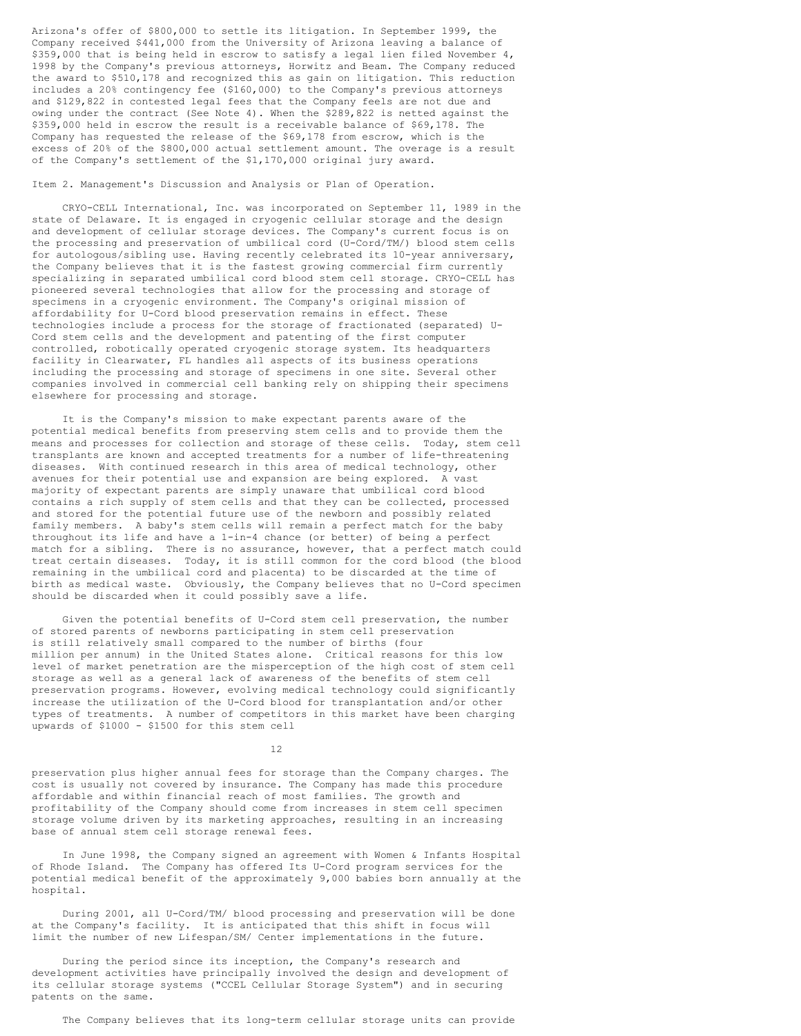Arizona's offer of \$800,000 to settle its litigation. In September 1999, the Company received \$441,000 from the University of Arizona leaving a balance of \$359,000 that is being held in escrow to satisfy a legal lien filed November 4, 1998 by the Company's previous attorneys, Horwitz and Beam. The Company reduced the award to \$510,178 and recognized this as gain on litigation. This reduction includes a 20% contingency fee (\$160,000) to the Company's previous attorneys and \$129,822 in contested legal fees that the Company feels are not due and owing under the contract (See Note 4). When the \$289,822 is netted against the \$359,000 held in escrow the result is a receivable balance of \$69,178. The Company has requested the release of the \$69,178 from escrow, which is the excess of 20% of the \$800,000 actual settlement amount. The overage is a result of the Company's settlement of the \$1,170,000 original jury award.

# Item 2. Management's Discussion and Analysis or Plan of Operation.

CRYO-CELL International, Inc. was incorporated on September 11, 1989 in the state of Delaware. It is engaged in cryogenic cellular storage and the design and development of cellular storage devices. The Company's current focus is on the processing and preservation of umbilical cord (U-Cord/TM/) blood stem cells for autologous/sibling use. Having recently celebrated its 10-year anniversary, the Company believes that it is the fastest growing commercial firm currently specializing in separated umbilical cord blood stem cell storage. CRYO-CELL has pioneered several technologies that allow for the processing and storage of specimens in a cryogenic environment. The Company's original mission of affordability for U-Cord blood preservation remains in effect. These technologies include a process for the storage of fractionated (separated) U-Cord stem cells and the development and patenting of the first computer controlled, robotically operated cryogenic storage system. Its headquarters facility in Clearwater, FL handles all aspects of its business operations including the processing and storage of specimens in one site. Several other companies involved in commercial cell banking rely on shipping their specimens elsewhere for processing and storage.

It is the Company's mission to make expectant parents aware of the potential medical benefits from preserving stem cells and to provide them the means and processes for collection and storage of these cells. Today, stem cell transplants are known and accepted treatments for a number of life-threatening diseases. With continued research in this area of medical technology, other avenues for their potential use and expansion are being explored. A vast majority of expectant parents are simply unaware that umbilical cord blood contains a rich supply of stem cells and that they can be collected, processed and stored for the potential future use of the newborn and possibly related family members. A baby's stem cells will remain a perfect match for the baby throughout its life and have a 1-in-4 chance (or better) of being a perfect match for a sibling. There is no assurance, however, that a perfect match could treat certain diseases. Today, it is still common for the cord blood (the blood remaining in the umbilical cord and placenta) to be discarded at the time of birth as medical waste. Obviously, the Company believes that no U-Cord specimen should be discarded when it could possibly save a life.

Given the potential benefits of U-Cord stem cell preservation, the number of stored parents of newborns participating in stem cell preservation is still relatively small compared to the number of births (four million per annum) in the United States alone. Critical reasons for this low level of market penetration are the misperception of the high cost of stem cell storage as well as a general lack of awareness of the benefits of stem cell preservation programs. However, evolving medical technology could significantly increase the utilization of the U-Cord blood for transplantation and/or other types of treatments. A number of competitors in this market have been charging upwards of \$1000 - \$1500 for this stem cell

12

preservation plus higher annual fees for storage than the Company charges. The cost is usually not covered by insurance. The Company has made this procedure affordable and within financial reach of most families. The growth and profitability of the Company should come from increases in stem cell specimen storage volume driven by its marketing approaches, resulting in an increasing base of annual stem cell storage renewal fees.

In June 1998, the Company signed an agreement with Women & Infants Hospital of Rhode Island. The Company has offered Its U-Cord program services for the potential medical benefit of the approximately 9,000 babies born annually at the hospital.

During 2001, all U-Cord/TM/ blood processing and preservation will be done at the Company's facility. It is anticipated that this shift in focus will limit the number of new Lifespan/SM/ Center implementations in the future.

During the period since its inception, the Company's research and development activities have principally involved the design and development of its cellular storage systems ("CCEL Cellular Storage System") and in securing patents on the same.

The Company believes that its long-term cellular storage units can provide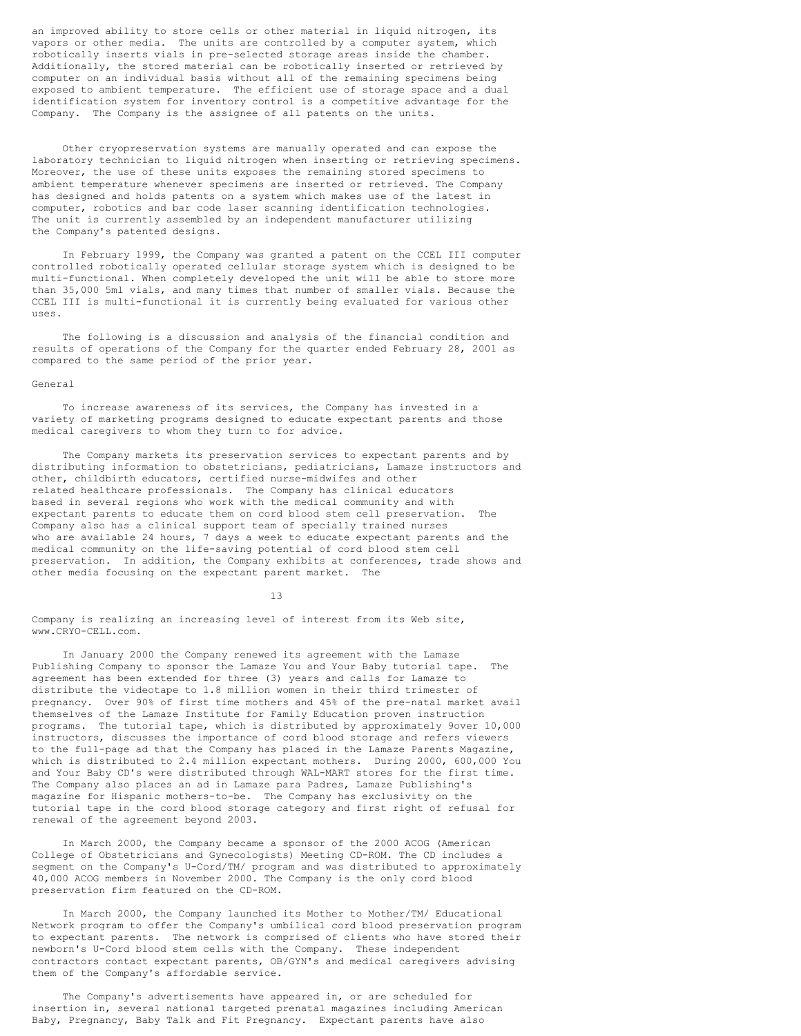an improved ability to store cells or other material in liquid nitrogen, its vapors or other media. The units are controlled by a computer system, which robotically inserts vials in pre-selected storage areas inside the chamber. Additionally, the stored material can be robotically inserted or retrieved by computer on an individual basis without all of the remaining specimens being exposed to ambient temperature. The efficient use of storage space and a dual identification system for inventory control is a competitive advantage for the Company. The Company is the assignee of all patents on the units.

Other cryopreservation systems are manually operated and can expose the laboratory technician to liquid nitrogen when inserting or retrieving specimens. Moreover, the use of these units exposes the remaining stored specimens to ambient temperature whenever specimens are inserted or retrieved. The Company has designed and holds patents on a system which makes use of the latest in computer, robotics and bar code laser scanning identification technologies. The unit is currently assembled by an independent manufacturer utilizing the Company's patented designs.

In February 1999, the Company was granted a patent on the CCEL III computer controlled robotically operated cellular storage system which is designed to be multi-functional. When completely developed the unit will be able to store more than 35,000 5ml vials, and many times that number of smaller vials. Because the CCEL III is multi-functional it is currently being evaluated for various other uses.

The following is a discussion and analysis of the financial condition and results of operations of the Company for the quarter ended February 28, 2001 as compared to the same period of the prior year.

#### General

To increase awareness of its services, the Company has invested in a variety of marketing programs designed to educate expectant parents and those medical caregivers to whom they turn to for advice.

The Company markets its preservation services to expectant parents and by distributing information to obstetricians, pediatricians, Lamaze instructors and other, childbirth educators, certified nurse-midwifes and other related healthcare professionals. The Company has clinical educators based in several regions who work with the medical community and with expectant parents to educate them on cord blood stem cell preservation. The Company also has a clinical support team of specially trained nurses who are available 24 hours, 7 days a week to educate expectant parents and the medical community on the life-saving potential of cord blood stem cell preservation. In addition, the Company exhibits at conferences, trade shows and other media focusing on the expectant parent market. The

13

Company is realizing an increasing level of interest from its Web site, www.CRYO-CELL.com.

In January 2000 the Company renewed its agreement with the Lamaze Publishing Company to sponsor the Lamaze You and Your Baby tutorial tape. The agreement has been extended for three (3) years and calls for Lamaze to distribute the videotape to 1.8 million women in their third trimester of pregnancy. Over 90% of first time mothers and 45% of the pre-natal market avail themselves of the Lamaze Institute for Family Education proven instruction programs. The tutorial tape, which is distributed by approximately 9over 10,000 instructors, discusses the importance of cord blood storage and refers viewers to the full-page ad that the Company has placed in the Lamaze Parents Magazine, which is distributed to 2.4 million expectant mothers. During 2000, 600,000 You and Your Baby CD's were distributed through WAL-MART stores for the first time. The Company also places an ad in Lamaze para Padres, Lamaze Publishing's magazine for Hispanic mothers-to-be. The Company has exclusivity on the tutorial tape in the cord blood storage category and first right of refusal for renewal of the agreement beyond 2003.

In March 2000, the Company became a sponsor of the 2000 ACOG (American College of Obstetricians and Gynecologists) Meeting CD-ROM. The CD includes a segment on the Company's U-Cord/TM/ program and was distributed to approximately 40,000 ACOG members in November 2000. The Company is the only cord blood preservation firm featured on the CD-ROM.

In March 2000, the Company launched its Mother to Mother/TM/ Educational Network program to offer the Company's umbilical cord blood preservation program to expectant parents. The network is comprised of clients who have stored their newborn's U-Cord blood stem cells with the Company. These independent contractors contact expectant parents, OB/GYN's and medical caregivers advising them of the Company's affordable service.

The Company's advertisements have appeared in, or are scheduled for insertion in, several national targeted prenatal magazines including American Baby, Pregnancy, Baby Talk and Fit Pregnancy. Expectant parents have also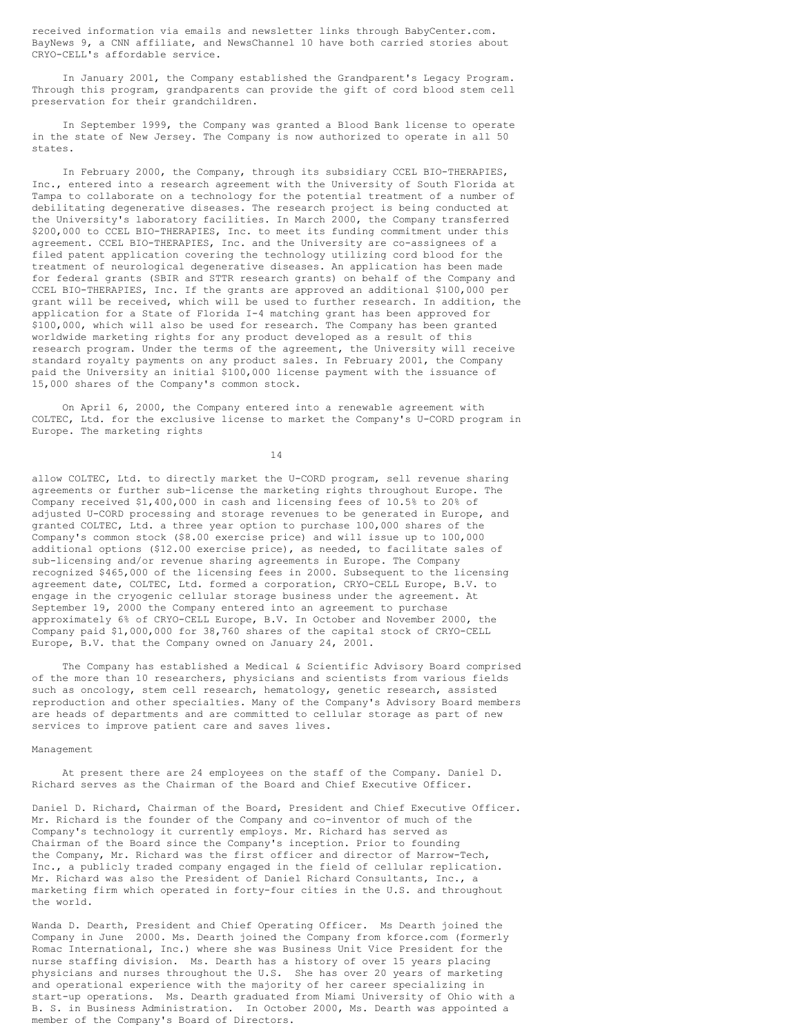received information via emails and newsletter links through BabyCenter.com. BayNews 9, a CNN affiliate, and NewsChannel 10 have both carried stories about CRYO-CELL's affordable service.

In January 2001, the Company established the Grandparent's Legacy Program. Through this program, grandparents can provide the gift of cord blood stem cell preservation for their grandchildren.

In September 1999, the Company was granted a Blood Bank license to operate in the state of New Jersey. The Company is now authorized to operate in all 50 states.

In February 2000, the Company, through its subsidiary CCEL BIO-THERAPIES, Inc., entered into a research agreement with the University of South Florida at Tampa to collaborate on a technology for the potential treatment of a number of debilitating degenerative diseases. The research project is being conducted at the University's laboratory facilities. In March 2000, the Company transferred \$200,000 to CCEL BIO-THERAPIES, Inc. to meet its funding commitment under this agreement. CCEL BIO-THERAPIES, Inc. and the University are co-assignees of a filed patent application covering the technology utilizing cord blood for the treatment of neurological degenerative diseases. An application has been made for federal grants (SBIR and STTR research grants) on behalf of the Company and CCEL BIO-THERAPIES, Inc. If the grants are approved an additional \$100,000 per grant will be received, which will be used to further research. In addition, the application for a State of Florida I-4 matching grant has been approved for \$100,000, which will also be used for research. The Company has been granted worldwide marketing rights for any product developed as a result of this research program. Under the terms of the agreement, the University will receive standard royalty payments on any product sales. In February 2001, the Company paid the University an initial \$100,000 license payment with the issuance of 15,000 shares of the Company's common stock.

On April 6, 2000, the Company entered into a renewable agreement with COLTEC, Ltd. for the exclusive license to market the Company's U-CORD program in Europe. The marketing rights

14

allow COLTEC, Ltd. to directly market the U-CORD program, sell revenue sharing agreements or further sub-license the marketing rights throughout Europe. The Company received \$1,400,000 in cash and licensing fees of 10.5% to 20% of adjusted U-CORD processing and storage revenues to be generated in Europe, and granted COLTEC, Ltd. a three year option to purchase 100,000 shares of the Company's common stock (\$8.00 exercise price) and will issue up to 100,000 additional options (\$12.00 exercise price), as needed, to facilitate sales of sub-licensing and/or revenue sharing agreements in Europe. The Company recognized \$465,000 of the licensing fees in 2000. Subsequent to the licensing agreement date, COLTEC, Ltd. formed a corporation, CRYO-CELL Europe, B.V. to engage in the cryogenic cellular storage business under the agreement. At September 19, 2000 the Company entered into an agreement to purchase approximately 6% of CRYO-CELL Europe, B.V. In October and November 2000, the Company paid \$1,000,000 for 38,760 shares of the capital stock of CRYO-CELL Europe, B.V. that the Company owned on January 24, 2001.

The Company has established a Medical & Scientific Advisory Board comprised of the more than 10 researchers, physicians and scientists from various fields such as oncology, stem cell research, hematology, genetic research, assisted reproduction and other specialties. Many of the Company's Advisory Board members are heads of departments and are committed to cellular storage as part of new services to improve patient care and saves lives.

#### Management

At present there are 24 employees on the staff of the Company. Daniel D. Richard serves as the Chairman of the Board and Chief Executive Officer.

Daniel D. Richard, Chairman of the Board, President and Chief Executive Officer. Mr. Richard is the founder of the Company and co-inventor of much of the Company's technology it currently employs. Mr. Richard has served as Chairman of the Board since the Company's inception. Prior to founding the Company, Mr. Richard was the first officer and director of Marrow-Tech, Inc., a publicly traded company engaged in the field of cellular replication. Mr. Richard was also the President of Daniel Richard Consultants, Inc., a marketing firm which operated in forty-four cities in the U.S. and throughout the world.

Wanda D. Dearth, President and Chief Operating Officer. Ms Dearth joined the Company in June 2000. Ms. Dearth joined the Company from kforce.com (formerly Romac International, Inc.) where she was Business Unit Vice President for the nurse staffing division. Ms. Dearth has a history of over 15 years placing physicians and nurses throughout the U.S. She has over 20 years of marketing and operational experience with the majority of her career specializing in start-up operations. Ms. Dearth graduated from Miami University of Ohio with a B. S. in Business Administration. In October 2000, Ms. Dearth was appointed a member of the Company's Board of Directors.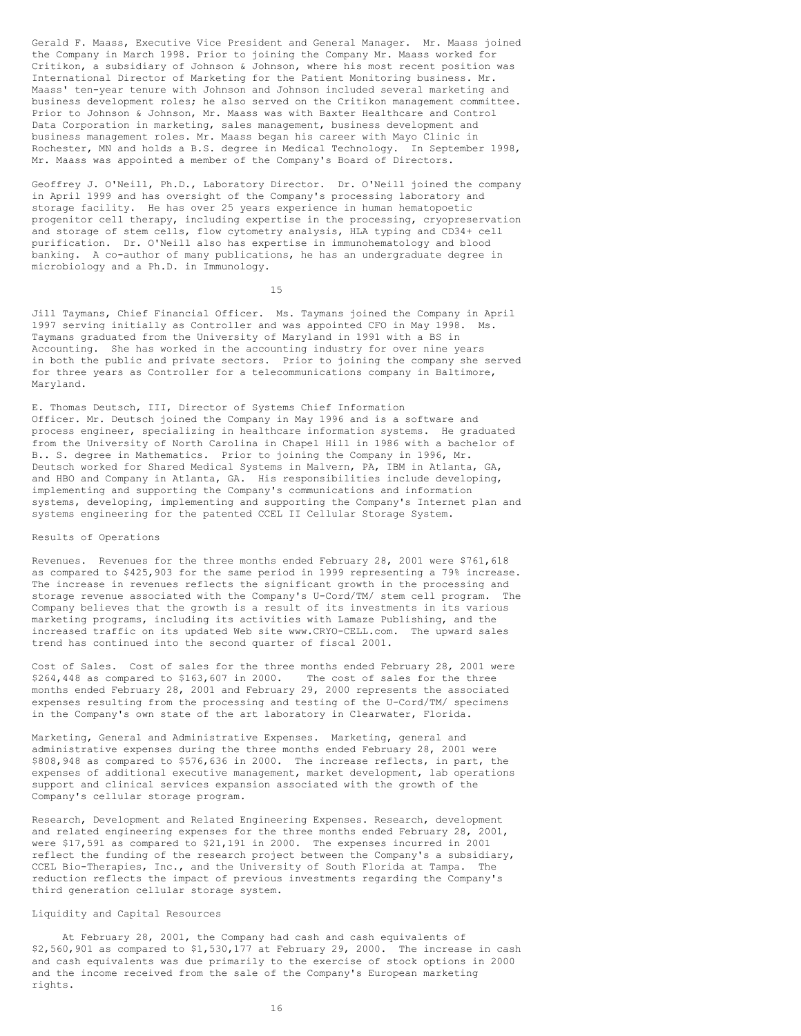Gerald F. Maass, Executive Vice President and General Manager. Mr. Maass joined the Company in March 1998. Prior to joining the Company Mr. Maass worked for Critikon, a subsidiary of Johnson & Johnson, where his most recent position was International Director of Marketing for the Patient Monitoring business. Mr. Maass' ten-year tenure with Johnson and Johnson included several marketing and business development roles; he also served on the Critikon management committee. Prior to Johnson & Johnson, Mr. Maass was with Baxter Healthcare and Control Data Corporation in marketing, sales management, business development and business management roles. Mr. Maass began his career with Mayo Clinic in Rochester, MN and holds a B.S. degree in Medical Technology. In September 1998, Mr. Maass was appointed a member of the Company's Board of Directors.

Geoffrey J. O'Neill, Ph.D., Laboratory Director. Dr. O'Neill joined the company in April 1999 and has oversight of the Company's processing laboratory and storage facility. He has over 25 years experience in human hematopoetic progenitor cell therapy, including expertise in the processing, cryopreservation and storage of stem cells, flow cytometry analysis, HLA typing and CD34+ cell purification. Dr. O'Neill also has expertise in immunohematology and blood banking. A co-author of many publications, he has an undergraduate degree in microbiology and a Ph.D. in Immunology.

15

Jill Taymans, Chief Financial Officer. Ms. Taymans joined the Company in April 1997 serving initially as Controller and was appointed CFO in May 1998. Ms. Taymans graduated from the University of Maryland in 1991 with a BS in Accounting. She has worked in the accounting industry for over nine years in both the public and private sectors. Prior to joining the company she served for three years as Controller for a telecommunications company in Baltimore, Maryland.

E. Thomas Deutsch, III, Director of Systems Chief Information Officer. Mr. Deutsch joined the Company in May 1996 and is a software and process engineer, specializing in healthcare information systems. He graduated from the University of North Carolina in Chapel Hill in 1986 with a bachelor of B.. S. degree in Mathematics. Prior to joining the Company in 1996, Mr. Deutsch worked for Shared Medical Systems in Malvern, PA, IBM in Atlanta, GA, and HBO and Company in Atlanta, GA. His responsibilities include developing, implementing and supporting the Company's communications and information systems, developing, implementing and supporting the Company's Internet plan and systems engineering for the patented CCEL II Cellular Storage System.

## Results of Operations

Revenues. Revenues for the three months ended February 28, 2001 were \$761,618 as compared to \$425,903 for the same period in 1999 representing a 79% increase. The increase in revenues reflects the significant growth in the processing and storage revenue associated with the Company's U-Cord/TM/ stem cell program. The Company believes that the growth is a result of its investments in its various marketing programs, including its activities with Lamaze Publishing, and the increased traffic on its updated Web site www.CRYO-CELL.com. The upward sales trend has continued into the second quarter of fiscal 2001.

Cost of Sales. Cost of sales for the three months ended February 28, 2001 were \$264,448 as compared to \$163,607 in 2000. The cost of sales for the three months ended February 28, 2001 and February 29, 2000 represents the associated expenses resulting from the processing and testing of the U-Cord/TM/ specimens in the Company's own state of the art laboratory in Clearwater, Florida.

Marketing, General and Administrative Expenses. Marketing, general and administrative expenses during the three months ended February 28, 2001 were \$808,948 as compared to \$576,636 in 2000. The increase reflects, in part, the expenses of additional executive management, market development, lab operations support and clinical services expansion associated with the growth of the Company's cellular storage program.

Research, Development and Related Engineering Expenses. Research, development and related engineering expenses for the three months ended February 28, 2001, were \$17,591 as compared to \$21,191 in 2000. The expenses incurred in 2001 reflect the funding of the research project between the Company's a subsidiary, CCEL Bio-Therapies, Inc., and the University of South Florida at Tampa. The reduction reflects the impact of previous investments regarding the Company's third generation cellular storage system.

#### Liquidity and Capital Resources

At February 28, 2001, the Company had cash and cash equivalents of \$2,560,901 as compared to \$1,530,177 at February 29, 2000. The increase in cash and cash equivalents was due primarily to the exercise of stock options in 2000 and the income received from the sale of the Company's European marketing rights.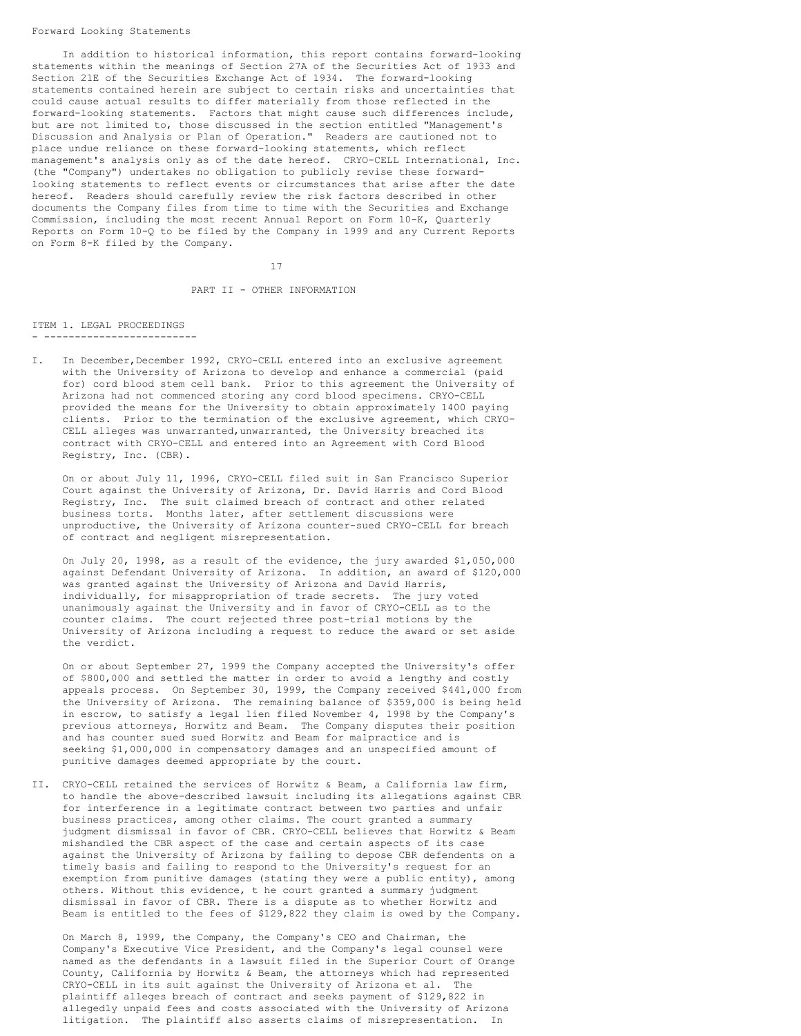#### Forward Looking Statements

In addition to historical information, this report contains forward-looking statements within the meanings of Section 27A of the Securities Act of 1933 and Section 21E of the Securities Exchange Act of 1934. The forward-looking statements contained herein are subject to certain risks and uncertainties that could cause actual results to differ materially from those reflected in the forward-looking statements. Factors that might cause such differences include, but are not limited to, those discussed in the section entitled "Management's Discussion and Analysis or Plan of Operation." Readers are cautioned not to place undue reliance on these forward-looking statements, which reflect management's analysis only as of the date hereof. CRYO-CELL International, Inc. (the "Company") undertakes no obligation to publicly revise these forwardlooking statements to reflect events or circumstances that arise after the date hereof. Readers should carefully review the risk factors described in other documents the Company files from time to time with the Securities and Exchange Commission, including the most recent Annual Report on Form 10-K, Quarterly Reports on Form 10-Q to be filed by the Company in 1999 and any Current Reports on Form 8-K filed by the Company.

17

PART II - OTHER INFORMATION

ITEM 1. LEGAL PROCEEDINGS - -------------------------

I. In December, December 1992, CRYO-CELL entered into an exclusive agreement with the University of Arizona to develop and enhance a commercial (paid for) cord blood stem cell bank. Prior to this agreement the University of Arizona had not commenced storing any cord blood specimens. CRYO-CELL provided the means for the University to obtain approximately 1400 paying clients. Prior to the termination of the exclusive agreement, which CRYO-CELL alleges was unwarranted,unwarranted, the University breached its contract with CRYO-CELL and entered into an Agreement with Cord Blood Registry, Inc. (CBR).

On or about July 11, 1996, CRYO-CELL filed suit in San Francisco Superior Court against the University of Arizona, Dr. David Harris and Cord Blood Registry, Inc. The suit claimed breach of contract and other related business torts. Months later, after settlement discussions were unproductive, the University of Arizona counter-sued CRYO-CELL for breach of contract and negligent misrepresentation.

On July 20, 1998, as a result of the evidence, the jury awarded \$1,050,000 against Defendant University of Arizona. In addition, an award of \$120,000 was granted against the University of Arizona and David Harris, individually, for misappropriation of trade secrets. The jury voted unanimously against the University and in favor of CRYO-CELL as to the counter claims. The court rejected three post-trial motions by the University of Arizona including a request to reduce the award or set aside the verdict.

On or about September 27, 1999 the Company accepted the University's offer of \$800,000 and settled the matter in order to avoid a lengthy and costly appeals process. On September 30, 1999, the Company received \$441,000 from the University of Arizona. The remaining balance of \$359,000 is being held in escrow, to satisfy a legal lien filed November 4, 1998 by the Company's previous attorneys, Horwitz and Beam. The Company disputes their position and has counter sued sued Horwitz and Beam for malpractice and is seeking \$1,000,000 in compensatory damages and an unspecified amount of punitive damages deemed appropriate by the court.

II. CRYO-CELL retained the services of Horwitz & Beam, a California law firm, to handle the above-described lawsuit including its allegations against CBR for interference in a legitimate contract between two parties and unfair business practices, among other claims. The court granted a summary judgment dismissal in favor of CBR. CRYO-CELL believes that Horwitz & Beam mishandled the CBR aspect of the case and certain aspects of its case against the University of Arizona by failing to depose CBR defendents on a timely basis and failing to respond to the University's request for an exemption from punitive damages (stating they were a public entity), among others. Without this evidence, t he court granted a summary judgment dismissal in favor of CBR. There is a dispute as to whether Horwitz and Beam is entitled to the fees of \$129,822 they claim is owed by the Company.

On March 8, 1999, the Company, the Company's CEO and Chairman, the Company's Executive Vice President, and the Company's legal counsel were named as the defendants in a lawsuit filed in the Superior Court of Orange County, California by Horwitz & Beam, the attorneys which had represented CRYO-CELL in its suit against the University of Arizona et al. The plaintiff alleges breach of contract and seeks payment of \$129,822 in allegedly unpaid fees and costs associated with the University of Arizona litigation. The plaintiff also asserts claims of misrepresentation. In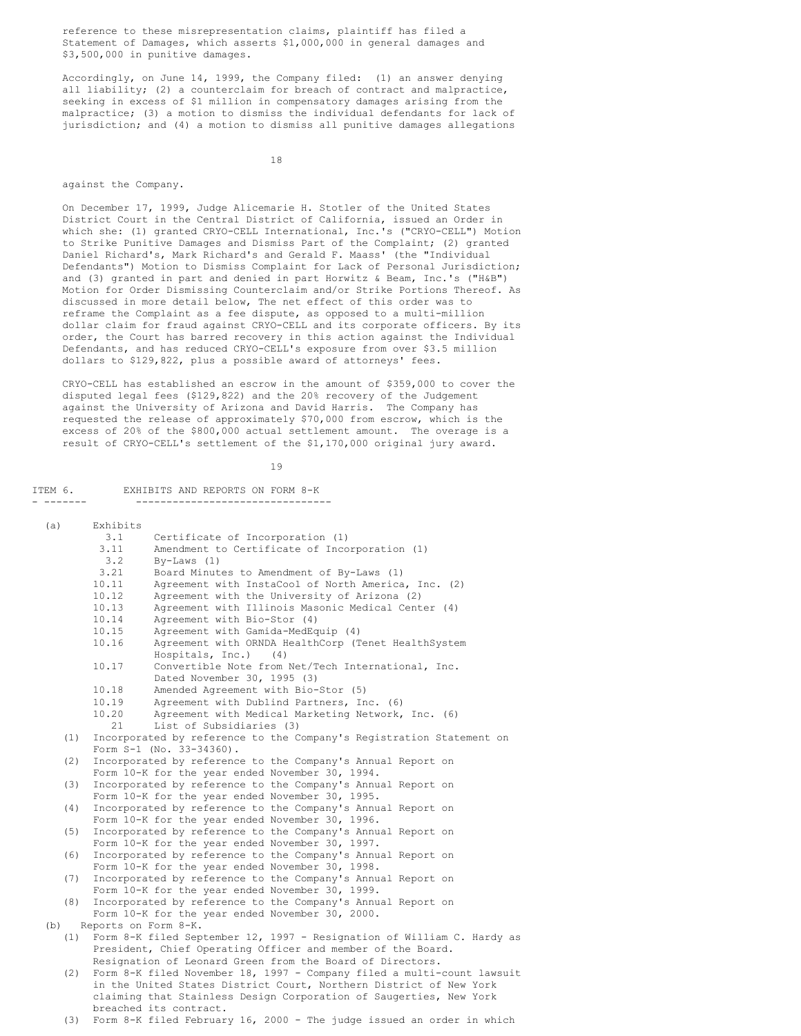reference to these misrepresentation claims, plaintiff has filed a Statement of Damages, which asserts \$1,000,000 in general damages and \$3,500,000 in punitive damages.

Accordingly, on June 14, 1999, the Company filed: (1) an answer denying all liability; (2) a counterclaim for breach of contract and malpractice, seeking in excess of \$1 million in compensatory damages arising from the malpractice; (3) a motion to dismiss the individual defendants for lack of jurisdiction; and (4) a motion to dismiss all punitive damages allegations

18

#### against the Company.

On December 17, 1999, Judge Alicemarie H. Stotler of the United States District Court in the Central District of California, issued an Order in which she: (1) granted CRYO-CELL International, Inc.'s ("CRYO-CELL") Motion to Strike Punitive Damages and Dismiss Part of the Complaint; (2) granted Daniel Richard's, Mark Richard's and Gerald F. Maass' (the "Individual Defendants") Motion to Dismiss Complaint for Lack of Personal Jurisdiction; and (3) granted in part and denied in part Horwitz & Beam, Inc.'s ("H&B") Motion for Order Dismissing Counterclaim and/or Strike Portions Thereof. As discussed in more detail below, The net effect of this order was to reframe the Complaint as a fee dispute, as opposed to a multi-million dollar claim for fraud against CRYO-CELL and its corporate officers. By its order, the Court has barred recovery in this action against the Individual Defendants, and has reduced CRYO-CELL's exposure from over \$3.5 million dollars to \$129,822, plus a possible award of attorneys' fees.

CRYO-CELL has established an escrow in the amount of \$359,000 to cover the disputed legal fees (\$129,822) and the 20% recovery of the Judgement against the University of Arizona and David Harris. The Company has requested the release of approximately \$70,000 from escrow, which is the excess of 20% of the \$800,000 actual settlement amount. The overage is a result of CRYO-CELL's settlement of the \$1,170,000 original jury award.

19

| (a)<br>Exhibits<br>Certificate of Incorporation (1)<br>3.1<br>3.11<br>Amendment to Certificate of Incorporation (1)<br>3.2<br>$By-Laws (1)$<br>3.21<br>Board Minutes to Amendment of By-Laws (1)<br>10.11<br>Agreement with InstaCool of North America, Inc. (2)<br>10.12<br>Agreement with the University of Arizona (2)<br>10.13<br>Agreement with Illinois Masonic Medical Center (4)<br>10.14<br>Agreement with Bio-Stor (4)<br>10.15<br>Agreement with Gamida-MedEquip (4)<br>10.16<br>Agreement with ORNDA HealthCorp (Tenet HealthSystem<br>Hospitals, Inc.)<br>(4)<br>10.17<br>Convertible Note from Net/Tech International, Inc.<br>Dated November 30, 1995 (3)<br>10.18<br>Amended Agreement with Bio-Stor (5)<br>10.19<br>Agreement with Dublind Partners, Inc. (6)<br>Agreement with Medical Marketing Network, Inc. (6)<br>10.20<br>21<br>List of Subsidiaries (3)<br>Incorporated by reference to the Company's Registration Statement on<br>(1)<br>Form S-1 (No. 33-34360).<br>Incorporated by reference to the Company's Annual Report on<br>(2)<br>Form 10-K for the year ended November 30, 1994.<br>Incorporated by reference to the Company's Annual Report on<br>(3)<br>Form 10-K for the year ended November 30, 1995.<br>Incorporated by reference to the Company's Annual Report on<br>(4)<br>Form 10-K for the year ended November 30, 1996.<br>(5)<br>Incorporated by reference to the Company's Annual Report on<br>Form 10-K for the year ended November 30, 1997.<br>Incorporated by reference to the Company's Annual Report on<br>(6)<br>Form 10-K for the year ended November 30, 1998.<br>Incorporated by reference to the Company's Annual Report on<br>(7)<br>Form 10-K for the year ended November 30, 1999.<br>Incorporated by reference to the Company's Annual Report on<br>(8)<br>Form 10-K for the year ended November 30, 2000.<br>Reports on Form 8-K.<br>(b)<br>Form 8-K filed September 12, 1997 - Resignation of William C. Hardy as<br>(1)<br>President, Chief Operating Officer and member of the Board.<br>Resignation of Leonard Green from the Board of Directors.<br>Form 8-K filed November 18, 1997 - Company filed a multi-count lawsuit<br>(2)<br>in the United States District Court, Northern District of New York<br>claiming that Stainless Design Corporation of Saugerties, New York<br>breached its contract.<br>Form 8-K filed February 16, 2000 - The judge issued an order in which<br>(3) | ITEM 6. | EXHIBITS AND REPORTS ON FORM 8-K |  |
|--------------------------------------------------------------------------------------------------------------------------------------------------------------------------------------------------------------------------------------------------------------------------------------------------------------------------------------------------------------------------------------------------------------------------------------------------------------------------------------------------------------------------------------------------------------------------------------------------------------------------------------------------------------------------------------------------------------------------------------------------------------------------------------------------------------------------------------------------------------------------------------------------------------------------------------------------------------------------------------------------------------------------------------------------------------------------------------------------------------------------------------------------------------------------------------------------------------------------------------------------------------------------------------------------------------------------------------------------------------------------------------------------------------------------------------------------------------------------------------------------------------------------------------------------------------------------------------------------------------------------------------------------------------------------------------------------------------------------------------------------------------------------------------------------------------------------------------------------------------------------------------------------------------------------------------------------------------------------------------------------------------------------------------------------------------------------------------------------------------------------------------------------------------------------------------------------------------------------------------------------------------------------------------------------------------------------------------------------------------------------------------------------------------------------------------------------------------|---------|----------------------------------|--|
|                                                                                                                                                                                                                                                                                                                                                                                                                                                                                                                                                                                                                                                                                                                                                                                                                                                                                                                                                                                                                                                                                                                                                                                                                                                                                                                                                                                                                                                                                                                                                                                                                                                                                                                                                                                                                                                                                                                                                                                                                                                                                                                                                                                                                                                                                                                                                                                                                                                              |         |                                  |  |
|                                                                                                                                                                                                                                                                                                                                                                                                                                                                                                                                                                                                                                                                                                                                                                                                                                                                                                                                                                                                                                                                                                                                                                                                                                                                                                                                                                                                                                                                                                                                                                                                                                                                                                                                                                                                                                                                                                                                                                                                                                                                                                                                                                                                                                                                                                                                                                                                                                                              |         |                                  |  |
|                                                                                                                                                                                                                                                                                                                                                                                                                                                                                                                                                                                                                                                                                                                                                                                                                                                                                                                                                                                                                                                                                                                                                                                                                                                                                                                                                                                                                                                                                                                                                                                                                                                                                                                                                                                                                                                                                                                                                                                                                                                                                                                                                                                                                                                                                                                                                                                                                                                              |         |                                  |  |
|                                                                                                                                                                                                                                                                                                                                                                                                                                                                                                                                                                                                                                                                                                                                                                                                                                                                                                                                                                                                                                                                                                                                                                                                                                                                                                                                                                                                                                                                                                                                                                                                                                                                                                                                                                                                                                                                                                                                                                                                                                                                                                                                                                                                                                                                                                                                                                                                                                                              |         |                                  |  |
|                                                                                                                                                                                                                                                                                                                                                                                                                                                                                                                                                                                                                                                                                                                                                                                                                                                                                                                                                                                                                                                                                                                                                                                                                                                                                                                                                                                                                                                                                                                                                                                                                                                                                                                                                                                                                                                                                                                                                                                                                                                                                                                                                                                                                                                                                                                                                                                                                                                              |         |                                  |  |
|                                                                                                                                                                                                                                                                                                                                                                                                                                                                                                                                                                                                                                                                                                                                                                                                                                                                                                                                                                                                                                                                                                                                                                                                                                                                                                                                                                                                                                                                                                                                                                                                                                                                                                                                                                                                                                                                                                                                                                                                                                                                                                                                                                                                                                                                                                                                                                                                                                                              |         |                                  |  |
|                                                                                                                                                                                                                                                                                                                                                                                                                                                                                                                                                                                                                                                                                                                                                                                                                                                                                                                                                                                                                                                                                                                                                                                                                                                                                                                                                                                                                                                                                                                                                                                                                                                                                                                                                                                                                                                                                                                                                                                                                                                                                                                                                                                                                                                                                                                                                                                                                                                              |         |                                  |  |
|                                                                                                                                                                                                                                                                                                                                                                                                                                                                                                                                                                                                                                                                                                                                                                                                                                                                                                                                                                                                                                                                                                                                                                                                                                                                                                                                                                                                                                                                                                                                                                                                                                                                                                                                                                                                                                                                                                                                                                                                                                                                                                                                                                                                                                                                                                                                                                                                                                                              |         |                                  |  |
|                                                                                                                                                                                                                                                                                                                                                                                                                                                                                                                                                                                                                                                                                                                                                                                                                                                                                                                                                                                                                                                                                                                                                                                                                                                                                                                                                                                                                                                                                                                                                                                                                                                                                                                                                                                                                                                                                                                                                                                                                                                                                                                                                                                                                                                                                                                                                                                                                                                              |         |                                  |  |
|                                                                                                                                                                                                                                                                                                                                                                                                                                                                                                                                                                                                                                                                                                                                                                                                                                                                                                                                                                                                                                                                                                                                                                                                                                                                                                                                                                                                                                                                                                                                                                                                                                                                                                                                                                                                                                                                                                                                                                                                                                                                                                                                                                                                                                                                                                                                                                                                                                                              |         |                                  |  |
|                                                                                                                                                                                                                                                                                                                                                                                                                                                                                                                                                                                                                                                                                                                                                                                                                                                                                                                                                                                                                                                                                                                                                                                                                                                                                                                                                                                                                                                                                                                                                                                                                                                                                                                                                                                                                                                                                                                                                                                                                                                                                                                                                                                                                                                                                                                                                                                                                                                              |         |                                  |  |
|                                                                                                                                                                                                                                                                                                                                                                                                                                                                                                                                                                                                                                                                                                                                                                                                                                                                                                                                                                                                                                                                                                                                                                                                                                                                                                                                                                                                                                                                                                                                                                                                                                                                                                                                                                                                                                                                                                                                                                                                                                                                                                                                                                                                                                                                                                                                                                                                                                                              |         |                                  |  |
|                                                                                                                                                                                                                                                                                                                                                                                                                                                                                                                                                                                                                                                                                                                                                                                                                                                                                                                                                                                                                                                                                                                                                                                                                                                                                                                                                                                                                                                                                                                                                                                                                                                                                                                                                                                                                                                                                                                                                                                                                                                                                                                                                                                                                                                                                                                                                                                                                                                              |         |                                  |  |
|                                                                                                                                                                                                                                                                                                                                                                                                                                                                                                                                                                                                                                                                                                                                                                                                                                                                                                                                                                                                                                                                                                                                                                                                                                                                                                                                                                                                                                                                                                                                                                                                                                                                                                                                                                                                                                                                                                                                                                                                                                                                                                                                                                                                                                                                                                                                                                                                                                                              |         |                                  |  |
|                                                                                                                                                                                                                                                                                                                                                                                                                                                                                                                                                                                                                                                                                                                                                                                                                                                                                                                                                                                                                                                                                                                                                                                                                                                                                                                                                                                                                                                                                                                                                                                                                                                                                                                                                                                                                                                                                                                                                                                                                                                                                                                                                                                                                                                                                                                                                                                                                                                              |         |                                  |  |
|                                                                                                                                                                                                                                                                                                                                                                                                                                                                                                                                                                                                                                                                                                                                                                                                                                                                                                                                                                                                                                                                                                                                                                                                                                                                                                                                                                                                                                                                                                                                                                                                                                                                                                                                                                                                                                                                                                                                                                                                                                                                                                                                                                                                                                                                                                                                                                                                                                                              |         |                                  |  |
|                                                                                                                                                                                                                                                                                                                                                                                                                                                                                                                                                                                                                                                                                                                                                                                                                                                                                                                                                                                                                                                                                                                                                                                                                                                                                                                                                                                                                                                                                                                                                                                                                                                                                                                                                                                                                                                                                                                                                                                                                                                                                                                                                                                                                                                                                                                                                                                                                                                              |         |                                  |  |
|                                                                                                                                                                                                                                                                                                                                                                                                                                                                                                                                                                                                                                                                                                                                                                                                                                                                                                                                                                                                                                                                                                                                                                                                                                                                                                                                                                                                                                                                                                                                                                                                                                                                                                                                                                                                                                                                                                                                                                                                                                                                                                                                                                                                                                                                                                                                                                                                                                                              |         |                                  |  |
|                                                                                                                                                                                                                                                                                                                                                                                                                                                                                                                                                                                                                                                                                                                                                                                                                                                                                                                                                                                                                                                                                                                                                                                                                                                                                                                                                                                                                                                                                                                                                                                                                                                                                                                                                                                                                                                                                                                                                                                                                                                                                                                                                                                                                                                                                                                                                                                                                                                              |         |                                  |  |
|                                                                                                                                                                                                                                                                                                                                                                                                                                                                                                                                                                                                                                                                                                                                                                                                                                                                                                                                                                                                                                                                                                                                                                                                                                                                                                                                                                                                                                                                                                                                                                                                                                                                                                                                                                                                                                                                                                                                                                                                                                                                                                                                                                                                                                                                                                                                                                                                                                                              |         |                                  |  |
|                                                                                                                                                                                                                                                                                                                                                                                                                                                                                                                                                                                                                                                                                                                                                                                                                                                                                                                                                                                                                                                                                                                                                                                                                                                                                                                                                                                                                                                                                                                                                                                                                                                                                                                                                                                                                                                                                                                                                                                                                                                                                                                                                                                                                                                                                                                                                                                                                                                              |         |                                  |  |
|                                                                                                                                                                                                                                                                                                                                                                                                                                                                                                                                                                                                                                                                                                                                                                                                                                                                                                                                                                                                                                                                                                                                                                                                                                                                                                                                                                                                                                                                                                                                                                                                                                                                                                                                                                                                                                                                                                                                                                                                                                                                                                                                                                                                                                                                                                                                                                                                                                                              |         |                                  |  |
|                                                                                                                                                                                                                                                                                                                                                                                                                                                                                                                                                                                                                                                                                                                                                                                                                                                                                                                                                                                                                                                                                                                                                                                                                                                                                                                                                                                                                                                                                                                                                                                                                                                                                                                                                                                                                                                                                                                                                                                                                                                                                                                                                                                                                                                                                                                                                                                                                                                              |         |                                  |  |
|                                                                                                                                                                                                                                                                                                                                                                                                                                                                                                                                                                                                                                                                                                                                                                                                                                                                                                                                                                                                                                                                                                                                                                                                                                                                                                                                                                                                                                                                                                                                                                                                                                                                                                                                                                                                                                                                                                                                                                                                                                                                                                                                                                                                                                                                                                                                                                                                                                                              |         |                                  |  |
|                                                                                                                                                                                                                                                                                                                                                                                                                                                                                                                                                                                                                                                                                                                                                                                                                                                                                                                                                                                                                                                                                                                                                                                                                                                                                                                                                                                                                                                                                                                                                                                                                                                                                                                                                                                                                                                                                                                                                                                                                                                                                                                                                                                                                                                                                                                                                                                                                                                              |         |                                  |  |
|                                                                                                                                                                                                                                                                                                                                                                                                                                                                                                                                                                                                                                                                                                                                                                                                                                                                                                                                                                                                                                                                                                                                                                                                                                                                                                                                                                                                                                                                                                                                                                                                                                                                                                                                                                                                                                                                                                                                                                                                                                                                                                                                                                                                                                                                                                                                                                                                                                                              |         |                                  |  |
|                                                                                                                                                                                                                                                                                                                                                                                                                                                                                                                                                                                                                                                                                                                                                                                                                                                                                                                                                                                                                                                                                                                                                                                                                                                                                                                                                                                                                                                                                                                                                                                                                                                                                                                                                                                                                                                                                                                                                                                                                                                                                                                                                                                                                                                                                                                                                                                                                                                              |         |                                  |  |
|                                                                                                                                                                                                                                                                                                                                                                                                                                                                                                                                                                                                                                                                                                                                                                                                                                                                                                                                                                                                                                                                                                                                                                                                                                                                                                                                                                                                                                                                                                                                                                                                                                                                                                                                                                                                                                                                                                                                                                                                                                                                                                                                                                                                                                                                                                                                                                                                                                                              |         |                                  |  |
|                                                                                                                                                                                                                                                                                                                                                                                                                                                                                                                                                                                                                                                                                                                                                                                                                                                                                                                                                                                                                                                                                                                                                                                                                                                                                                                                                                                                                                                                                                                                                                                                                                                                                                                                                                                                                                                                                                                                                                                                                                                                                                                                                                                                                                                                                                                                                                                                                                                              |         |                                  |  |
|                                                                                                                                                                                                                                                                                                                                                                                                                                                                                                                                                                                                                                                                                                                                                                                                                                                                                                                                                                                                                                                                                                                                                                                                                                                                                                                                                                                                                                                                                                                                                                                                                                                                                                                                                                                                                                                                                                                                                                                                                                                                                                                                                                                                                                                                                                                                                                                                                                                              |         |                                  |  |
|                                                                                                                                                                                                                                                                                                                                                                                                                                                                                                                                                                                                                                                                                                                                                                                                                                                                                                                                                                                                                                                                                                                                                                                                                                                                                                                                                                                                                                                                                                                                                                                                                                                                                                                                                                                                                                                                                                                                                                                                                                                                                                                                                                                                                                                                                                                                                                                                                                                              |         |                                  |  |
|                                                                                                                                                                                                                                                                                                                                                                                                                                                                                                                                                                                                                                                                                                                                                                                                                                                                                                                                                                                                                                                                                                                                                                                                                                                                                                                                                                                                                                                                                                                                                                                                                                                                                                                                                                                                                                                                                                                                                                                                                                                                                                                                                                                                                                                                                                                                                                                                                                                              |         |                                  |  |
|                                                                                                                                                                                                                                                                                                                                                                                                                                                                                                                                                                                                                                                                                                                                                                                                                                                                                                                                                                                                                                                                                                                                                                                                                                                                                                                                                                                                                                                                                                                                                                                                                                                                                                                                                                                                                                                                                                                                                                                                                                                                                                                                                                                                                                                                                                                                                                                                                                                              |         |                                  |  |
|                                                                                                                                                                                                                                                                                                                                                                                                                                                                                                                                                                                                                                                                                                                                                                                                                                                                                                                                                                                                                                                                                                                                                                                                                                                                                                                                                                                                                                                                                                                                                                                                                                                                                                                                                                                                                                                                                                                                                                                                                                                                                                                                                                                                                                                                                                                                                                                                                                                              |         |                                  |  |
|                                                                                                                                                                                                                                                                                                                                                                                                                                                                                                                                                                                                                                                                                                                                                                                                                                                                                                                                                                                                                                                                                                                                                                                                                                                                                                                                                                                                                                                                                                                                                                                                                                                                                                                                                                                                                                                                                                                                                                                                                                                                                                                                                                                                                                                                                                                                                                                                                                                              |         |                                  |  |
|                                                                                                                                                                                                                                                                                                                                                                                                                                                                                                                                                                                                                                                                                                                                                                                                                                                                                                                                                                                                                                                                                                                                                                                                                                                                                                                                                                                                                                                                                                                                                                                                                                                                                                                                                                                                                                                                                                                                                                                                                                                                                                                                                                                                                                                                                                                                                                                                                                                              |         |                                  |  |
|                                                                                                                                                                                                                                                                                                                                                                                                                                                                                                                                                                                                                                                                                                                                                                                                                                                                                                                                                                                                                                                                                                                                                                                                                                                                                                                                                                                                                                                                                                                                                                                                                                                                                                                                                                                                                                                                                                                                                                                                                                                                                                                                                                                                                                                                                                                                                                                                                                                              |         |                                  |  |
|                                                                                                                                                                                                                                                                                                                                                                                                                                                                                                                                                                                                                                                                                                                                                                                                                                                                                                                                                                                                                                                                                                                                                                                                                                                                                                                                                                                                                                                                                                                                                                                                                                                                                                                                                                                                                                                                                                                                                                                                                                                                                                                                                                                                                                                                                                                                                                                                                                                              |         |                                  |  |
|                                                                                                                                                                                                                                                                                                                                                                                                                                                                                                                                                                                                                                                                                                                                                                                                                                                                                                                                                                                                                                                                                                                                                                                                                                                                                                                                                                                                                                                                                                                                                                                                                                                                                                                                                                                                                                                                                                                                                                                                                                                                                                                                                                                                                                                                                                                                                                                                                                                              |         |                                  |  |
|                                                                                                                                                                                                                                                                                                                                                                                                                                                                                                                                                                                                                                                                                                                                                                                                                                                                                                                                                                                                                                                                                                                                                                                                                                                                                                                                                                                                                                                                                                                                                                                                                                                                                                                                                                                                                                                                                                                                                                                                                                                                                                                                                                                                                                                                                                                                                                                                                                                              |         |                                  |  |
|                                                                                                                                                                                                                                                                                                                                                                                                                                                                                                                                                                                                                                                                                                                                                                                                                                                                                                                                                                                                                                                                                                                                                                                                                                                                                                                                                                                                                                                                                                                                                                                                                                                                                                                                                                                                                                                                                                                                                                                                                                                                                                                                                                                                                                                                                                                                                                                                                                                              |         |                                  |  |
|                                                                                                                                                                                                                                                                                                                                                                                                                                                                                                                                                                                                                                                                                                                                                                                                                                                                                                                                                                                                                                                                                                                                                                                                                                                                                                                                                                                                                                                                                                                                                                                                                                                                                                                                                                                                                                                                                                                                                                                                                                                                                                                                                                                                                                                                                                                                                                                                                                                              |         |                                  |  |